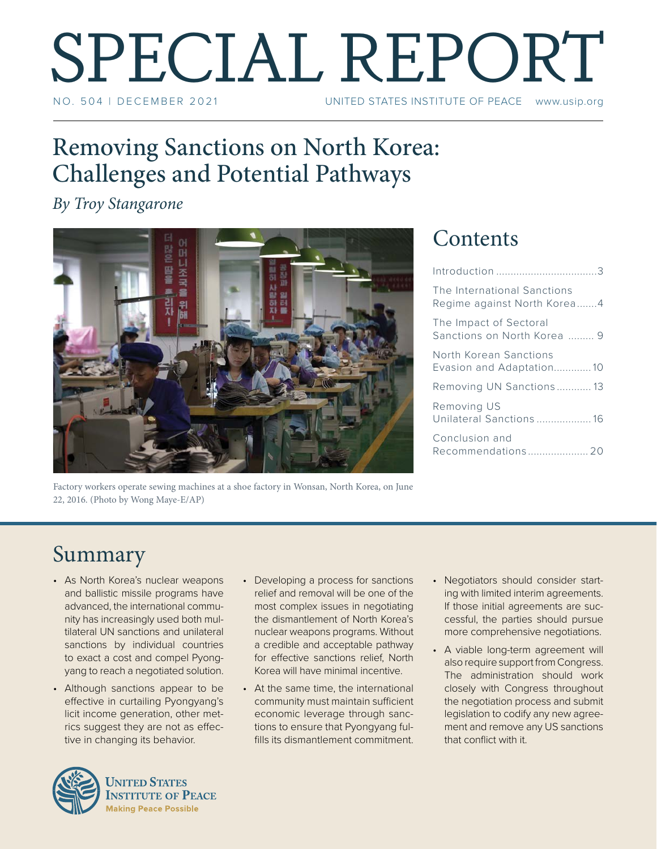# SPECIAL REPORT UNITED STATES INSTITUTE OF PEACE www.usip.org

## Removing Sanctions on North Korea: Challenges and Potential Pathways

*By Troy Stangarone*



Factory workers operate sewing machines at a shoe factory in Wonsan, North Korea, on June 22, 2016. (Photo by Wong Maye-E/AP)

## **Contents**

| The International Sanctions<br>Regime against North Korea4 |
|------------------------------------------------------------|
| The Impact of Sectoral<br>Sanctions on North Korea  9      |
| North Korean Sanctions<br>Evasion and Adaptation10         |
| Removing UN Sanctions13                                    |
| Removing US<br>Unilateral Sanctions 16                     |
| Conclusion and                                             |
|                                                            |

## Summary

- As North Korea's nuclear weapons and ballistic missile programs have advanced, the international community has increasingly used both multilateral UN sanctions and unilateral sanctions by individual countries to exact a cost and compel Pyongyang to reach a negotiated solution.
- Although sanctions appear to be effective in curtailing Pyongyang's licit income generation, other metrics suggest they are not as effective in changing its behavior.



- Developing a process for sanctions relief and removal will be one of the most complex issues in negotiating the dismantlement of North Korea's nuclear weapons programs. Without a credible and acceptable pathway for effective sanctions relief, North Korea will have minimal incentive.
- At the same time, the international community must maintain sufficient economic leverage through sanctions to ensure that Pyongyang fulfills its dismantlement commitment.
- Negotiators should consider starting with limited interim agreements. If those initial agreements are successful, the parties should pursue more comprehensive negotiations.
- A viable long-term agreement will also require support from Congress. The administration should work closely with Congress throughout the negotiation process and submit legislation to codify any new agreement and remove any US sanctions that conflict with it.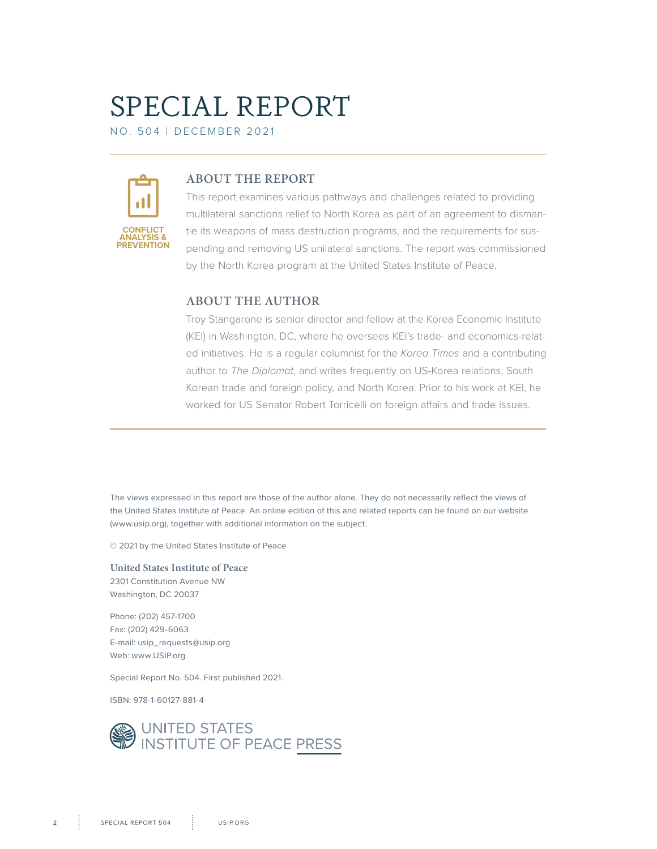# SPECIAL REPORT

NO. 504 | DECEMBER 2021



### **ABOUT THE REPORT**

This report examines various pathways and challenges related to providing multilateral sanctions relief to North Korea as part of an agreement to dismantle its weapons of mass destruction programs, and the requirements for suspending and removing US unilateral sanctions. The report was commissioned by the North Korea program at the United States Institute of Peace.

### **ABOUT THE AUTHOR**

Troy Stangarone is senior director and fellow at the Korea Economic Institute (KEI) in Washington, DC, where he oversees KEI's trade- and economics-related initiatives. He is a regular columnist for the *Korea Times* and a contributing author to *The Diplomat*, and writes frequently on US-Korea relations, South Korean trade and foreign policy, and North Korea. Prior to his work at KEI, he worked for US Senator Robert Torricelli on foreign affairs and trade issues.

The views expressed in this report are those of the author alone. They do not necessarily reflect the views of the United States Institute of Peace. An online edition of this and related reports can be found on our website (www.usip.org), together with additional information on the subject.

© 2021 by the United States Institute of Peace

**United States Institute of Peace** 2301 Constitution Avenue NW Washington, DC 20037

Phone: (202) 457-1700 Fax: (202) 429-6063 E-mail: usip\_requests@usip.org Web: www.USIP.org

Special Report No. 504. First published 2021.

ISBN: 978-1-60127-881-4

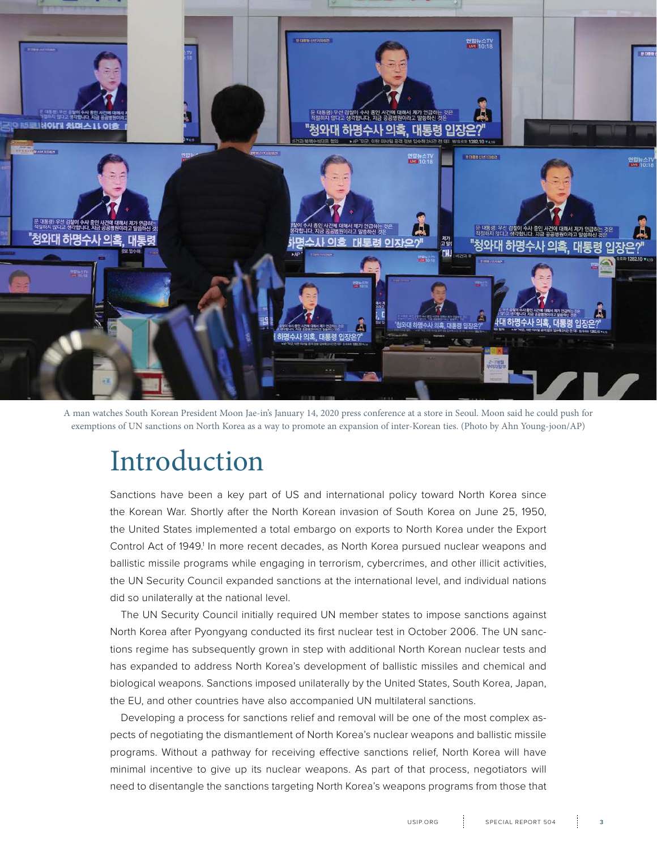<span id="page-2-0"></span>

A man watches South Korean President Moon Jae-in's January 14, 2020 press conference at a store in Seoul. Moon said he could push for exemptions of UN sanctions on North Korea as a way to promote an expansion of inter-Korean ties. (Photo by Ahn Young-joon/AP)

# Introduction

Sanctions have been a key part of US and international policy toward North Korea since the Korean War. Shortly after the North Korean invasion of South Korea on June 25, 1950, the United States implemented a total embargo on exports to North Korea under the Export Control Act of 1949.<sup>1</sup> In more recent decades, as North Korea pursued nuclear weapons and ballistic missile programs while engaging in terrorism, cybercrimes, and other illicit activities, the UN Security Council expanded sanctions at the international level, and individual nations did so unilaterally at the national level.

The UN Security Council initially required UN member states to impose sanctions against North Korea after Pyongyang conducted its first nuclear test in October 2006. The UN sanctions regime has subsequently grown in step with additional North Korean nuclear tests and has expanded to address North Korea's development of ballistic missiles and chemical and biological weapons. Sanctions imposed unilaterally by the United States, South Korea, Japan, the EU, and other countries have also accompanied UN multilateral sanctions.

Developing a process for sanctions relief and removal will be one of the most complex aspects of negotiating the dismantlement of North Korea's nuclear weapons and ballistic missile programs. Without a pathway for receiving effective sanctions relief, North Korea will have minimal incentive to give up its nuclear weapons. As part of that process, negotiators will need to disentangle the sanctions targeting North Korea's weapons programs from those that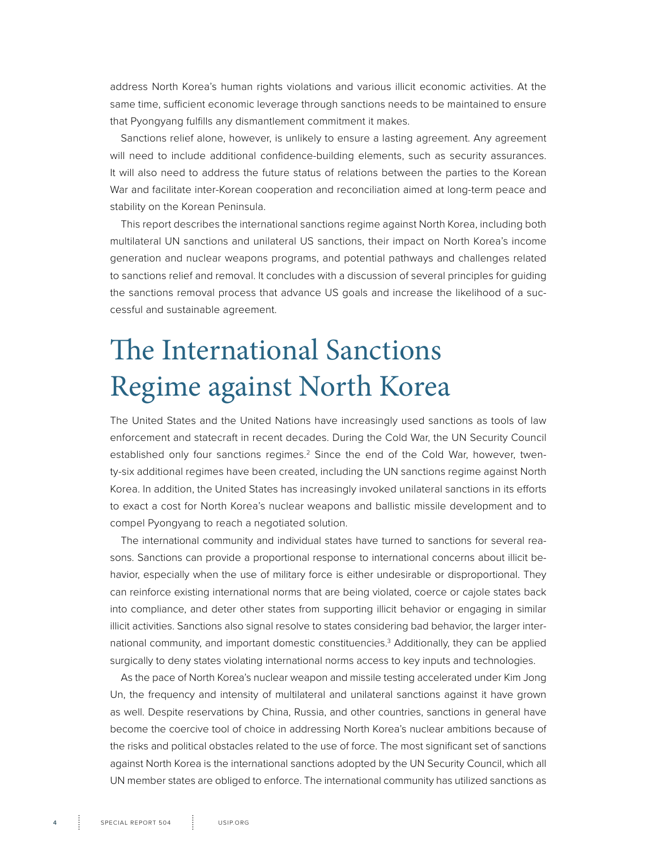<span id="page-3-0"></span>address North Korea's human rights violations and various illicit economic activities. At the same time, sufficient economic leverage through sanctions needs to be maintained to ensure that Pyongyang fulfills any dismantlement commitment it makes.

Sanctions relief alone, however, is unlikely to ensure a lasting agreement. Any agreement will need to include additional confidence-building elements, such as security assurances. It will also need to address the future status of relations between the parties to the Korean War and facilitate inter-Korean cooperation and reconciliation aimed at long-term peace and stability on the Korean Peninsula.

This report describes the international sanctions regime against North Korea, including both multilateral UN sanctions and unilateral US sanctions, their impact on North Korea's income generation and nuclear weapons programs, and potential pathways and challenges related to sanctions relief and removal. It concludes with a discussion of several principles for guiding the sanctions removal process that advance US goals and increase the likelihood of a successful and sustainable agreement.

# The International Sanctions Regime against North Korea

The United States and the United Nations have increasingly used sanctions as tools of law enforcement and statecraft in recent decades. During the Cold War, the UN Security Council established only four sanctions regimes.<sup>2</sup> Since the end of the Cold War, however, twenty-six additional regimes have been created, including the UN sanctions regime against North Korea. In addition, the United States has increasingly invoked unilateral sanctions in its efforts to exact a cost for North Korea's nuclear weapons and ballistic missile development and to compel Pyongyang to reach a negotiated solution.

The international community and individual states have turned to sanctions for several reasons. Sanctions can provide a proportional response to international concerns about illicit behavior, especially when the use of military force is either undesirable or disproportional. They can reinforce existing international norms that are being violated, coerce or cajole states back into compliance, and deter other states from supporting illicit behavior or engaging in similar illicit activities. Sanctions also signal resolve to states considering bad behavior, the larger international community, and important domestic constituencies.<sup>3</sup> Additionally, they can be applied surgically to deny states violating international norms access to key inputs and technologies.

As the pace of North Korea's nuclear weapon and missile testing accelerated under Kim Jong Un, the frequency and intensity of multilateral and unilateral sanctions against it have grown as well. Despite reservations by China, Russia, and other countries, sanctions in general have become the coercive tool of choice in addressing North Korea's nuclear ambitions because of the risks and political obstacles related to the use of force. The most significant set of sanctions against North Korea is the international sanctions adopted by the UN Security Council, which all UN member states are obliged to enforce. The international community has utilized sanctions as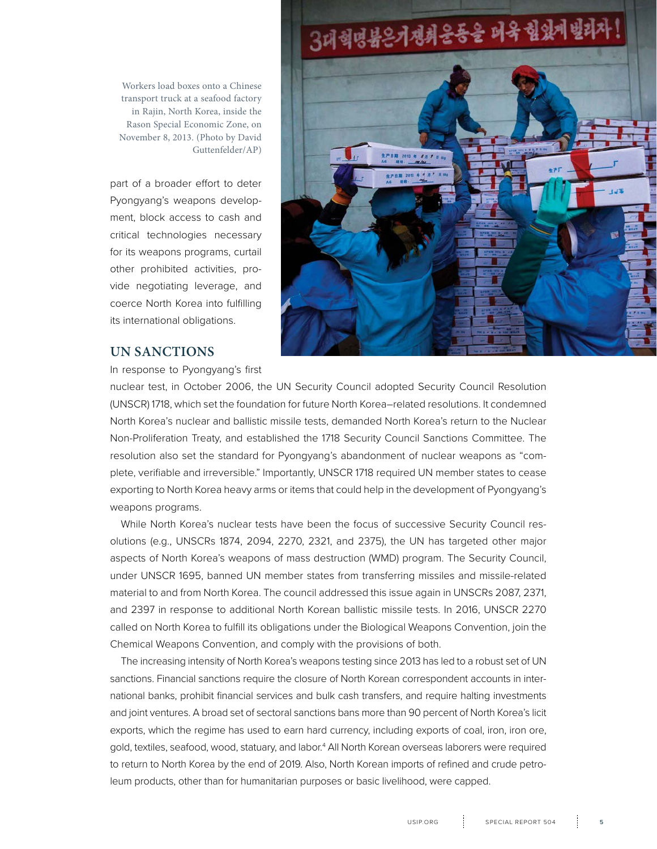Workers load boxes onto a Chinese transport truck at a seafood factory in Rajin, North Korea, inside the Rason Special Economic Zone, on November 8, 2013. (Photo by David Guttenfelder/AP)

part of a broader effort to deter Pyongyang's weapons development, block access to cash and critical technologies necessary for its weapons programs, curtail other prohibited activities, provide negotiating leverage, and coerce North Korea into fulfilling its international obligations.



#### **UN SANCTIONS**

In response to Pyongyang's first

nuclear test, in October 2006, the UN Security Council adopted Security Council Resolution (UNSCR) 1718, which set the foundation for future North Korea–related resolutions. It condemned North Korea's nuclear and ballistic missile tests, demanded North Korea's return to the Nuclear Non-Proliferation Treaty, and established the 1718 Security Council Sanctions Committee. The resolution also set the standard for Pyongyang's abandonment of nuclear weapons as "complete, verifiable and irreversible." Importantly, UNSCR 1718 required UN member states to cease exporting to North Korea heavy arms or items that could help in the development of Pyongyang's weapons programs.

While North Korea's nuclear tests have been the focus of successive Security Council resolutions (e.g., UNSCRs 1874, 2094, 2270, 2321, and 2375), the UN has targeted other major aspects of North Korea's weapons of mass destruction (WMD) program. The Security Council, under UNSCR 1695, banned UN member states from transferring missiles and missile-related material to and from North Korea. The council addressed this issue again in UNSCRs 2087, 2371, and 2397 in response to additional North Korean ballistic missile tests. In 2016, UNSCR 2270 called on North Korea to fulfill its obligations under the Biological Weapons Convention, join the Chemical Weapons Convention, and comply with the provisions of both.

The increasing intensity of North Korea's weapons testing since 2013 has led to a robust set of UN sanctions. Financial sanctions require the closure of North Korean correspondent accounts in international banks, prohibit financial services and bulk cash transfers, and require halting investments and joint ventures. A broad set of sectoral sanctions bans more than 90 percent of North Korea's licit exports, which the regime has used to earn hard currency, including exports of coal, iron, iron ore, gold, textiles, seafood, wood, statuary, and labor.4 All North Korean overseas laborers were required to return to North Korea by the end of 2019. Also, North Korean imports of refined and crude petroleum products, other than for humanitarian purposes or basic livelihood, were capped.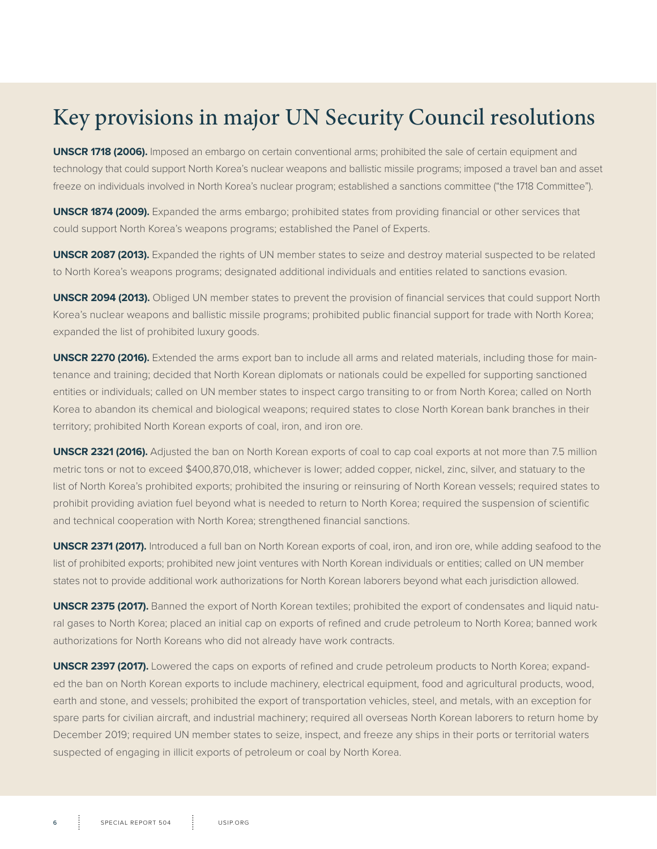## Key provisions in major UN Security Council resolutions

**UNSCR 1718 (2006).** Imposed an embargo on certain conventional arms; prohibited the sale of certain equipment and technology that could support North Korea's nuclear weapons and ballistic missile programs; imposed a travel ban and asset freeze on individuals involved in North Korea's nuclear program; established a sanctions committee ("the 1718 Committee").

**UNSCR 1874 (2009).** Expanded the arms embargo; prohibited states from providing financial or other services that could support North Korea's weapons programs; established the Panel of Experts.

**UNSCR 2087 (2013).** Expanded the rights of UN member states to seize and destroy material suspected to be related to North Korea's weapons programs; designated additional individuals and entities related to sanctions evasion.

**UNSCR 2094 (2013).** Obliged UN member states to prevent the provision of financial services that could support North Korea's nuclear weapons and ballistic missile programs; prohibited public financial support for trade with North Korea; expanded the list of prohibited luxury goods.

**UNSCR 2270 (2016).** Extended the arms export ban to include all arms and related materials, including those for maintenance and training; decided that North Korean diplomats or nationals could be expelled for supporting sanctioned entities or individuals; called on UN member states to inspect cargo transiting to or from North Korea; called on North Korea to abandon its chemical and biological weapons; required states to close North Korean bank branches in their territory; prohibited North Korean exports of coal, iron, and iron ore.

**UNSCR 2321 (2016).** Adjusted the ban on North Korean exports of coal to cap coal exports at not more than 7.5 million metric tons or not to exceed \$400,870,018, whichever is lower; added copper, nickel, zinc, silver, and statuary to the list of North Korea's prohibited exports; prohibited the insuring or reinsuring of North Korean vessels; required states to prohibit providing aviation fuel beyond what is needed to return to North Korea; required the suspension of scientific and technical cooperation with North Korea; strengthened financial sanctions.

**UNSCR 2371 (2017).** Introduced a full ban on North Korean exports of coal, iron, and iron ore, while adding seafood to the list of prohibited exports; prohibited new joint ventures with North Korean individuals or entities; called on UN member states not to provide additional work authorizations for North Korean laborers beyond what each jurisdiction allowed.

**UNSCR 2375 (2017).** Banned the export of North Korean textiles; prohibited the export of condensates and liquid natural gases to North Korea; placed an initial cap on exports of refined and crude petroleum to North Korea; banned work authorizations for North Koreans who did not already have work contracts.

**UNSCR 2397 (2017).** Lowered the caps on exports of refined and crude petroleum products to North Korea; expanded the ban on North Korean exports to include machinery, electrical equipment, food and agricultural products, wood, earth and stone, and vessels; prohibited the export of transportation vehicles, steel, and metals, with an exception for spare parts for civilian aircraft, and industrial machinery; required all overseas North Korean laborers to return home by December 2019; required UN member states to seize, inspect, and freeze any ships in their ports or territorial waters suspected of engaging in illicit exports of petroleum or coal by North Korea.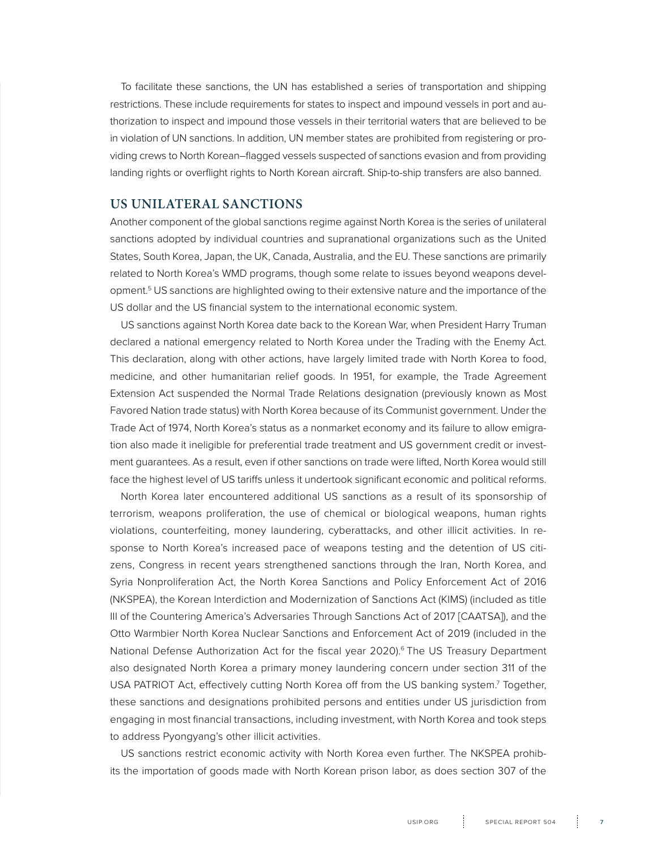To facilitate these sanctions, the UN has established a series of transportation and shipping restrictions. These include requirements for states to inspect and impound vessels in port and authorization to inspect and impound those vessels in their territorial waters that are believed to be in violation of UN sanctions. In addition, UN member states are prohibited from registering or providing crews to North Korean–flagged vessels suspected of sanctions evasion and from providing landing rights or overflight rights to North Korean aircraft. Ship-to-ship transfers are also banned.

#### **US UNILATERAL SANCTIONS**

Another component of the global sanctions regime against North Korea is the series of unilateral sanctions adopted by individual countries and supranational organizations such as the United States, South Korea, Japan, the UK, Canada, Australia, and the EU. These sanctions are primarily related to North Korea's WMD programs, though some relate to issues beyond weapons development.5 US sanctions are highlighted owing to their extensive nature and the importance of the US dollar and the US financial system to the international economic system.

US sanctions against North Korea date back to the Korean War, when President Harry Truman declared a national emergency related to North Korea under the Trading with the Enemy Act. This declaration, along with other actions, have largely limited trade with North Korea to food, medicine, and other humanitarian relief goods. In 1951, for example, the Trade Agreement Extension Act suspended the Normal Trade Relations designation (previously known as Most Favored Nation trade status) with North Korea because of its Communist government. Under the Trade Act of 1974, North Korea's status as a nonmarket economy and its failure to allow emigration also made it ineligible for preferential trade treatment and US government credit or investment guarantees. As a result, even if other sanctions on trade were lifted, North Korea would still face the highest level of US tariffs unless it undertook significant economic and political reforms.

North Korea later encountered additional US sanctions as a result of its sponsorship of terrorism, weapons proliferation, the use of chemical or biological weapons, human rights violations, counterfeiting, money laundering, cyberattacks, and other illicit activities. In response to North Korea's increased pace of weapons testing and the detention of US citizens, Congress in recent years strengthened sanctions through the Iran, North Korea, and Syria Nonproliferation Act, the North Korea Sanctions and Policy Enforcement Act of 2016 (NKSPEA), the Korean Interdiction and Modernization of Sanctions Act (KIMS) (included as title III of the Countering America's Adversaries Through Sanctions Act of 2017 [CAATSA]), and the Otto Warmbier North Korea Nuclear Sanctions and Enforcement Act of 2019 (included in the National Defense Authorization Act for the fiscal year 2020).<sup>6</sup> The US Treasury Department also designated North Korea a primary money laundering concern under section 311 of the USA PATRIOT Act, effectively cutting North Korea off from the US banking system.<sup>7</sup> Together, these sanctions and designations prohibited persons and entities under US jurisdiction from engaging in most financial transactions, including investment, with North Korea and took steps to address Pyongyang's other illicit activities.

US sanctions restrict economic activity with North Korea even further. The NKSPEA prohibits the importation of goods made with North Korean prison labor, as does section 307 of the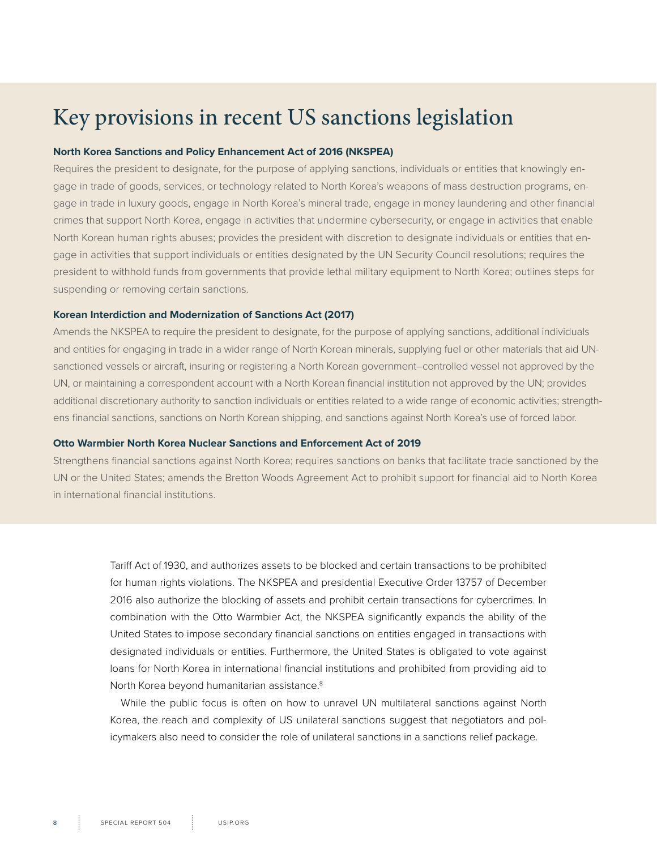## Key provisions in recent US sanctions legislation

#### **North Korea Sanctions and Policy Enhancement Act of 2016 (NKSPEA)**

Requires the president to designate, for the purpose of applying sanctions, individuals or entities that knowingly engage in trade of goods, services, or technology related to North Korea's weapons of mass destruction programs, engage in trade in luxury goods, engage in North Korea's mineral trade, engage in money laundering and other financial crimes that support North Korea, engage in activities that undermine cybersecurity, or engage in activities that enable North Korean human rights abuses; provides the president with discretion to designate individuals or entities that engage in activities that support individuals or entities designated by the UN Security Council resolutions; requires the president to withhold funds from governments that provide lethal military equipment to North Korea; outlines steps for suspending or removing certain sanctions.

#### **Korean Interdiction and Modernization of Sanctions Act (2017)**

Amends the NKSPEA to require the president to designate, for the purpose of applying sanctions, additional individuals and entities for engaging in trade in a wider range of North Korean minerals, supplying fuel or other materials that aid UNsanctioned vessels or aircraft, insuring or registering a North Korean government–controlled vessel not approved by the UN, or maintaining a correspondent account with a North Korean financial institution not approved by the UN; provides additional discretionary authority to sanction individuals or entities related to a wide range of economic activities; strengthens financial sanctions, sanctions on North Korean shipping, and sanctions against North Korea's use of forced labor.

#### **Otto Warmbier North Korea Nuclear Sanctions and Enforcement Act of 2019**

Strengthens financial sanctions against North Korea; requires sanctions on banks that facilitate trade sanctioned by the UN or the United States; amends the Bretton Woods Agreement Act to prohibit support for financial aid to North Korea in international financial institutions.

> Tariff Act of 1930, and authorizes assets to be blocked and certain transactions to be prohibited for human rights violations. The NKSPEA and presidential Executive Order 13757 of December 2016 also authorize the blocking of assets and prohibit certain transactions for cybercrimes. In combination with the Otto Warmbier Act, the NKSPEA significantly expands the ability of the United States to impose secondary financial sanctions on entities engaged in transactions with designated individuals or entities. Furthermore, the United States is obligated to vote against loans for North Korea in international financial institutions and prohibited from providing aid to North Korea beyond humanitarian assistance.<sup>8</sup>

> While the public focus is often on how to unravel UN multilateral sanctions against North Korea, the reach and complexity of US unilateral sanctions suggest that negotiators and policymakers also need to consider the role of unilateral sanctions in a sanctions relief package.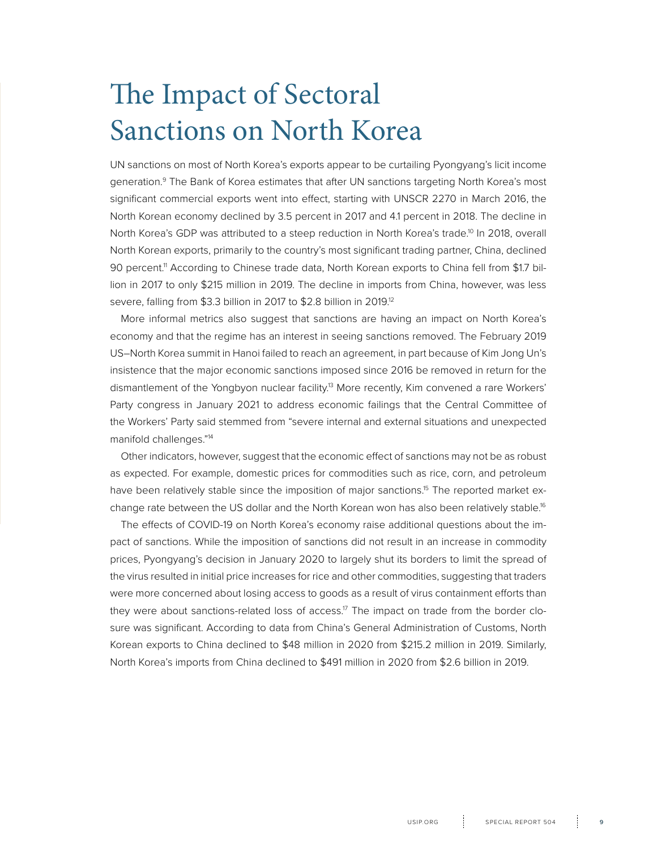# <span id="page-8-0"></span>The Impact of Sectoral Sanctions on North Korea

UN sanctions on most of North Korea's exports appear to be curtailing Pyongyang's licit income generation.<sup>9</sup> The Bank of Korea estimates that after UN sanctions targeting North Korea's most significant commercial exports went into effect, starting with UNSCR 2270 in March 2016, the North Korean economy declined by 3.5 percent in 2017 and 4.1 percent in 2018. The decline in North Korea's GDP was attributed to a steep reduction in North Korea's trade.<sup>10</sup> In 2018, overall North Korean exports, primarily to the country's most significant trading partner, China, declined 90 percent.<sup>11</sup> According to Chinese trade data, North Korean exports to China fell from \$1.7 billion in 2017 to only \$215 million in 2019. The decline in imports from China, however, was less severe, falling from \$3.3 billion in 2017 to \$2.8 billion in 2019.12

More informal metrics also suggest that sanctions are having an impact on North Korea's economy and that the regime has an interest in seeing sanctions removed. The February 2019 US–North Korea summit in Hanoi failed to reach an agreement, in part because of Kim Jong Un's insistence that the major economic sanctions imposed since 2016 be removed in return for the dismantlement of the Yongbyon nuclear facility.<sup>13</sup> More recently, Kim convened a rare Workers' Party congress in January 2021 to address economic failings that the Central Committee of the Workers' Party said stemmed from "severe internal and external situations and unexpected manifold challenges."14

Other indicators, however, suggest that the economic effect of sanctions may not be as robust as expected. For example, domestic prices for commodities such as rice, corn, and petroleum have been relatively stable since the imposition of major sanctions.<sup>15</sup> The reported market exchange rate between the US dollar and the North Korean won has also been relatively stable.<sup>16</sup>

The effects of COVID-19 on North Korea's economy raise additional questions about the impact of sanctions. While the imposition of sanctions did not result in an increase in commodity prices, Pyongyang's decision in January 2020 to largely shut its borders to limit the spread of the virus resulted in initial price increases for rice and other commodities, suggesting that traders were more concerned about losing access to goods as a result of virus containment efforts than they were about sanctions-related loss of access.<sup>17</sup> The impact on trade from the border closure was significant. According to data from China's General Administration of Customs, North Korean exports to China declined to \$48 million in 2020 from \$215.2 million in 2019. Similarly, North Korea's imports from China declined to \$491 million in 2020 from \$2.6 billion in 2019.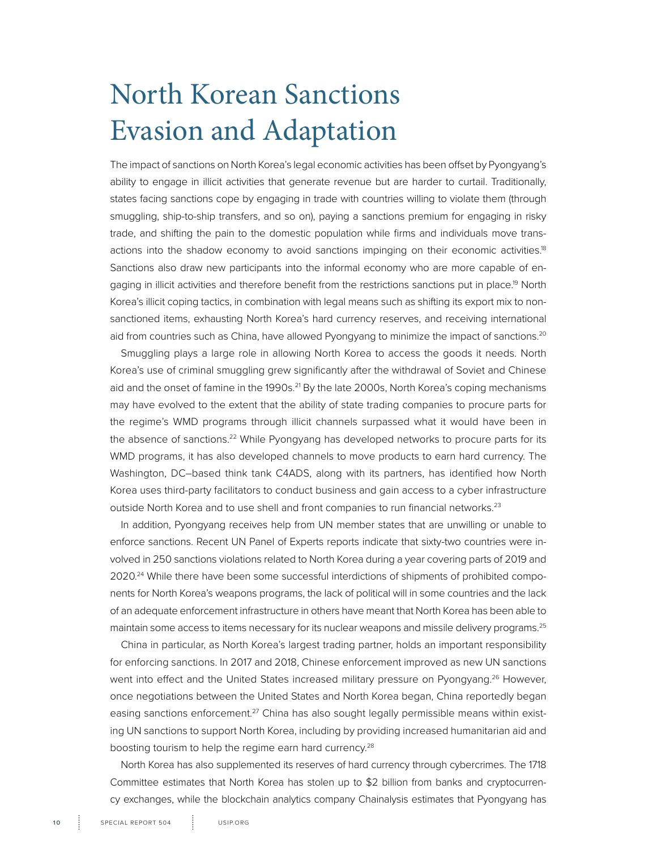# <span id="page-9-0"></span>North Korean Sanctions Evasion and Adaptation

The impact of sanctions on North Korea's legal economic activities has been offset by Pyongyang's ability to engage in illicit activities that generate revenue but are harder to curtail. Traditionally, states facing sanctions cope by engaging in trade with countries willing to violate them (through smuggling, ship-to-ship transfers, and so on), paying a sanctions premium for engaging in risky trade, and shifting the pain to the domestic population while firms and individuals move transactions into the shadow economy to avoid sanctions impinging on their economic activities.<sup>18</sup> Sanctions also draw new participants into the informal economy who are more capable of engaging in illicit activities and therefore benefit from the restrictions sanctions put in place.<sup>19</sup> North Korea's illicit coping tactics, in combination with legal means such as shifting its export mix to nonsanctioned items, exhausting North Korea's hard currency reserves, and receiving international aid from countries such as China, have allowed Pyongyang to minimize the impact of sanctions.<sup>20</sup>

Smuggling plays a large role in allowing North Korea to access the goods it needs. North Korea's use of criminal smuggling grew significantly after the withdrawal of Soviet and Chinese aid and the onset of famine in the 1990s.<sup>21</sup> By the late 2000s, North Korea's coping mechanisms may have evolved to the extent that the ability of state trading companies to procure parts for the regime's WMD programs through illicit channels surpassed what it would have been in the absence of sanctions.<sup>22</sup> While Pyongyang has developed networks to procure parts for its WMD programs, it has also developed channels to move products to earn hard currency. The Washington, DC–based think tank C4ADS, along with its partners, has identified how North Korea uses third-party facilitators to conduct business and gain access to a cyber infrastructure outside North Korea and to use shell and front companies to run financial networks.<sup>23</sup>

In addition, Pyongyang receives help from UN member states that are unwilling or unable to enforce sanctions. Recent UN Panel of Experts reports indicate that sixty-two countries were involved in 250 sanctions violations related to North Korea during a year covering parts of 2019 and 2020.<sup>24</sup> While there have been some successful interdictions of shipments of prohibited components for North Korea's weapons programs, the lack of political will in some countries and the lack of an adequate enforcement infrastructure in others have meant that North Korea has been able to maintain some access to items necessary for its nuclear weapons and missile delivery programs.<sup>25</sup>

China in particular, as North Korea's largest trading partner, holds an important responsibility for enforcing sanctions. In 2017 and 2018, Chinese enforcement improved as new UN sanctions went into effect and the United States increased military pressure on Pyongyang.<sup>26</sup> However, once negotiations between the United States and North Korea began, China reportedly began easing sanctions enforcement.<sup>27</sup> China has also sought legally permissible means within existing UN sanctions to support North Korea, including by providing increased humanitarian aid and boosting tourism to help the regime earn hard currency.<sup>28</sup>

North Korea has also supplemented its reserves of hard currency through cybercrimes. The 1718 Committee estimates that North Korea has stolen up to \$2 billion from banks and cryptocurrency exchanges, while the blockchain analytics company Chainalysis estimates that Pyongyang has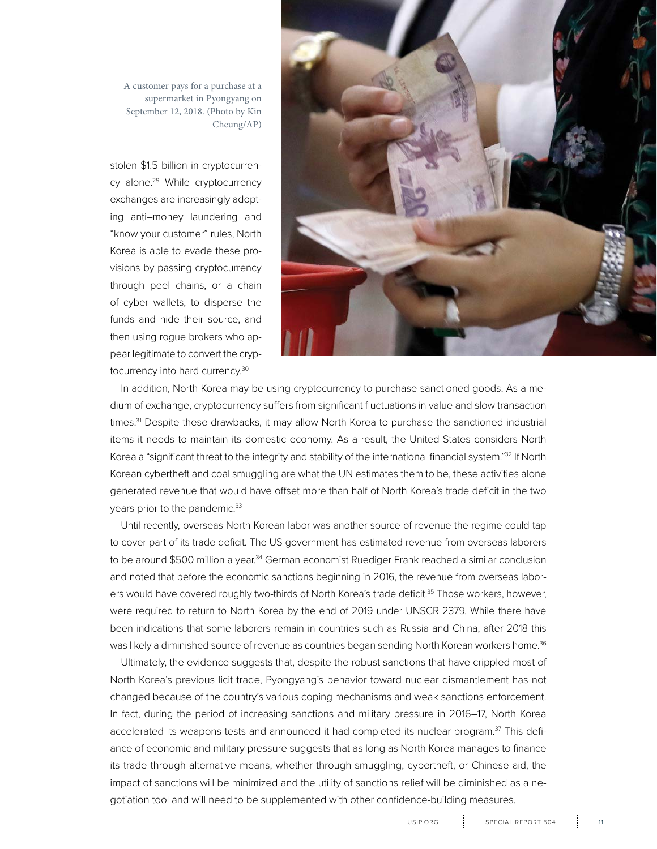

stolen \$1.5 billion in cryptocurrency alone.<sup>29</sup> While cryptocurrency exchanges are increasingly adopting anti–money laundering and "know your customer" rules, North Korea is able to evade these provisions by passing cryptocurrency through peel chains, or a chain of cyber wallets, to disperse the funds and hide their source, and then using rogue brokers who appear legitimate to convert the cryptocurrency into hard currency.30



In addition, North Korea may be using cryptocurrency to purchase sanctioned goods. As a medium of exchange, cryptocurrency suffers from significant fluctuations in value and slow transaction times.<sup>31</sup> Despite these drawbacks, it may allow North Korea to purchase the sanctioned industrial items it needs to maintain its domestic economy. As a result, the United States considers North Korea a "significant threat to the integrity and stability of the international financial system."32 If North Korean cybertheft and coal smuggling are what the UN estimates them to be, these activities alone generated revenue that would have offset more than half of North Korea's trade deficit in the two years prior to the pandemic.<sup>33</sup>

Until recently, overseas North Korean labor was another source of revenue the regime could tap to cover part of its trade deficit. The US government has estimated revenue from overseas laborers to be around \$500 million a year.<sup>34</sup> German economist Ruediger Frank reached a similar conclusion and noted that before the economic sanctions beginning in 2016, the revenue from overseas laborers would have covered roughly two-thirds of North Korea's trade deficit.<sup>35</sup> Those workers, however, were required to return to North Korea by the end of 2019 under UNSCR 2379. While there have been indications that some laborers remain in countries such as Russia and China, after 2018 this was likely a diminished source of revenue as countries began sending North Korean workers home.<sup>36</sup>

Ultimately, the evidence suggests that, despite the robust sanctions that have crippled most of North Korea's previous licit trade, Pyongyang's behavior toward nuclear dismantlement has not changed because of the country's various coping mechanisms and weak sanctions enforcement. In fact, during the period of increasing sanctions and military pressure in 2016–17, North Korea accelerated its weapons tests and announced it had completed its nuclear program.<sup>37</sup> This defiance of economic and military pressure suggests that as long as North Korea manages to finance its trade through alternative means, whether through smuggling, cybertheft, or Chinese aid, the impact of sanctions will be minimized and the utility of sanctions relief will be diminished as a negotiation tool and will need to be supplemented with other confidence-building measures.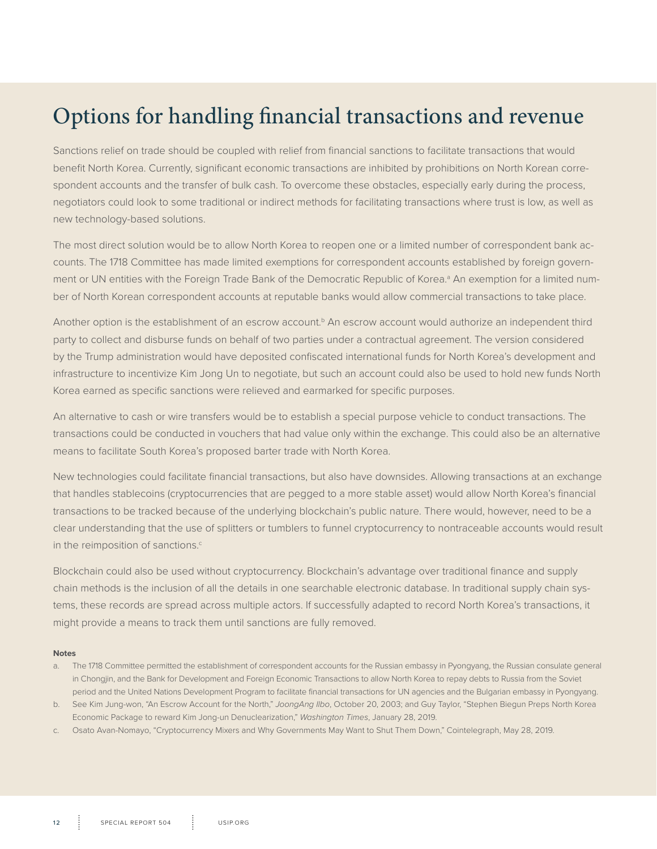## Options for handling financial transactions and revenue

Sanctions relief on trade should be coupled with relief from financial sanctions to facilitate transactions that would benefit North Korea. Currently, significant economic transactions are inhibited by prohibitions on North Korean correspondent accounts and the transfer of bulk cash. To overcome these obstacles, especially early during the process, negotiators could look to some traditional or indirect methods for facilitating transactions where trust is low, as well as new technology-based solutions.

The most direct solution would be to allow North Korea to reopen one or a limited number of correspondent bank accounts. The 1718 Committee has made limited exemptions for correspondent accounts established by foreign government or UN entities with the Foreign Trade Bank of the Democratic Republic of Korea.<sup>a</sup> An exemption for a limited number of North Korean correspondent accounts at reputable banks would allow commercial transactions to take place.

Another option is the establishment of an escrow account.<sup>b</sup> An escrow account would authorize an independent third party to collect and disburse funds on behalf of two parties under a contractual agreement. The version considered by the Trump administration would have deposited confiscated international funds for North Korea's development and infrastructure to incentivize Kim Jong Un to negotiate, but such an account could also be used to hold new funds North Korea earned as specific sanctions were relieved and earmarked for specific purposes.

An alternative to cash or wire transfers would be to establish a special purpose vehicle to conduct transactions. The transactions could be conducted in vouchers that had value only within the exchange. This could also be an alternative means to facilitate South Korea's proposed barter trade with North Korea.

New technologies could facilitate financial transactions, but also have downsides. Allowing transactions at an exchange that handles stablecoins (cryptocurrencies that are pegged to a more stable asset) would allow North Korea's financial transactions to be tracked because of the underlying blockchain's public nature. There would, however, need to be a clear understanding that the use of splitters or tumblers to funnel cryptocurrency to nontraceable accounts would result in the reimposition of sanctions.<sup>c</sup>

Blockchain could also be used without cryptocurrency. Blockchain's advantage over traditional finance and supply chain methods is the inclusion of all the details in one searchable electronic database. In traditional supply chain systems, these records are spread across multiple actors. If successfully adapted to record North Korea's transactions, it might provide a means to track them until sanctions are fully removed.

#### **Notes**

- a. The 1718 Committee permitted the establishment of correspondent accounts for the Russian embassy in Pyongyang, the Russian consulate general in Chongjin, and the Bank for Development and Foreign Economic Transactions to allow North Korea to repay debts to Russia from the Soviet period and the United Nations Development Program to facilitate financial transactions for UN agencies and the Bulgarian embassy in Pyongyang.
- b. See Kim Jung-won, "An Escrow Account for the North," *JoongAng Ilbo*, October 20, 2003; and Guy Taylor, "Stephen Biegun Preps North Korea Economic Package to reward Kim Jong-un Denuclearization," *Washington Times*, January 28, 2019.
- c. Osato Avan-Nomayo, "Cryptocurrency Mixers and Why Governments May Want to Shut Them Down," Cointelegraph, May 28, 2019.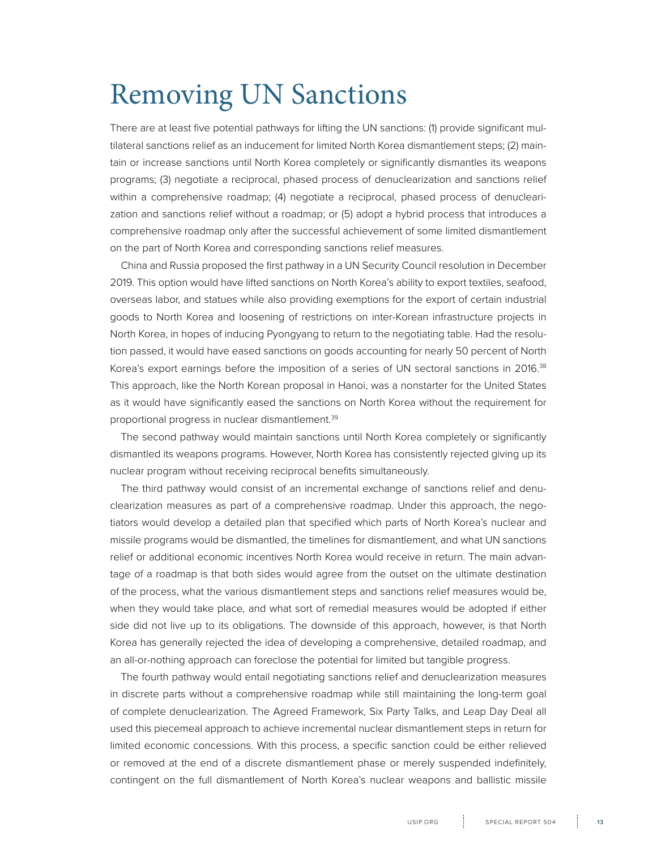# <span id="page-12-0"></span>Removing UN Sanctions

There are at least five potential pathways for lifting the UN sanctions: (1) provide significant multilateral sanctions relief as an inducement for limited North Korea dismantlement steps; (2) maintain or increase sanctions until North Korea completely or significantly dismantles its weapons programs; (3) negotiate a reciprocal, phased process of denuclearization and sanctions relief within a comprehensive roadmap; (4) negotiate a reciprocal, phased process of denuclearization and sanctions relief without a roadmap; or (5) adopt a hybrid process that introduces a comprehensive roadmap only after the successful achievement of some limited dismantlement on the part of North Korea and corresponding sanctions relief measures.

China and Russia proposed the first pathway in a UN Security Council resolution in December 2019. This option would have lifted sanctions on North Korea's ability to export textiles, seafood, overseas labor, and statues while also providing exemptions for the export of certain industrial goods to North Korea and loosening of restrictions on inter-Korean infrastructure projects in North Korea, in hopes of inducing Pyongyang to return to the negotiating table. Had the resolution passed, it would have eased sanctions on goods accounting for nearly 50 percent of North Korea's export earnings before the imposition of a series of UN sectoral sanctions in 2016.<sup>38</sup> This approach, like the North Korean proposal in Hanoi, was a nonstarter for the United States as it would have significantly eased the sanctions on North Korea without the requirement for proportional progress in nuclear dismantlement.<sup>39</sup>

The second pathway would maintain sanctions until North Korea completely or significantly dismantled its weapons programs. However, North Korea has consistently rejected giving up its nuclear program without receiving reciprocal benefits simultaneously.

The third pathway would consist of an incremental exchange of sanctions relief and denuclearization measures as part of a comprehensive roadmap. Under this approach, the negotiators would develop a detailed plan that specified which parts of North Korea's nuclear and missile programs would be dismantled, the timelines for dismantlement, and what UN sanctions relief or additional economic incentives North Korea would receive in return. The main advantage of a roadmap is that both sides would agree from the outset on the ultimate destination of the process, what the various dismantlement steps and sanctions relief measures would be, when they would take place, and what sort of remedial measures would be adopted if either side did not live up to its obligations. The downside of this approach, however, is that North Korea has generally rejected the idea of developing a comprehensive, detailed roadmap, and an all-or-nothing approach can foreclose the potential for limited but tangible progress.

The fourth pathway would entail negotiating sanctions relief and denuclearization measures in discrete parts without a comprehensive roadmap while still maintaining the long-term goal of complete denuclearization. The Agreed Framework, Six Party Talks, and Leap Day Deal all used this piecemeal approach to achieve incremental nuclear dismantlement steps in return for limited economic concessions. With this process, a specific sanction could be either relieved or removed at the end of a discrete dismantlement phase or merely suspended indefinitely, contingent on the full dismantlement of North Korea's nuclear weapons and ballistic missile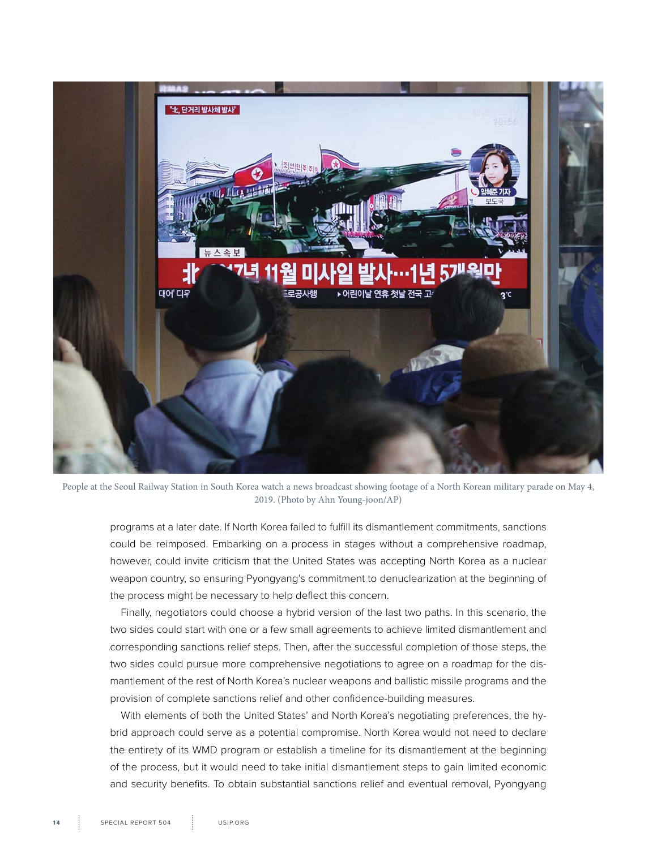

People at the Seoul Railway Station in South Korea watch a news broadcast showing footage of a North Korean military parade on May 4, 2019. (Photo by Ahn Young-joon/AP)

programs at a later date. If North Korea failed to fulfill its dismantlement commitments, sanctions could be reimposed. Embarking on a process in stages without a comprehensive roadmap, however, could invite criticism that the United States was accepting North Korea as a nuclear weapon country, so ensuring Pyongyang's commitment to denuclearization at the beginning of the process might be necessary to help deflect this concern.

Finally, negotiators could choose a hybrid version of the last two paths. In this scenario, the two sides could start with one or a few small agreements to achieve limited dismantlement and corresponding sanctions relief steps. Then, after the successful completion of those steps, the two sides could pursue more comprehensive negotiations to agree on a roadmap for the dismantlement of the rest of North Korea's nuclear weapons and ballistic missile programs and the provision of complete sanctions relief and other confidence-building measures.

With elements of both the United States' and North Korea's negotiating preferences, the hybrid approach could serve as a potential compromise. North Korea would not need to declare the entirety of its WMD program or establish a timeline for its dismantlement at the beginning of the process, but it would need to take initial dismantlement steps to gain limited economic and security benefits. To obtain substantial sanctions relief and eventual removal, Pyongyang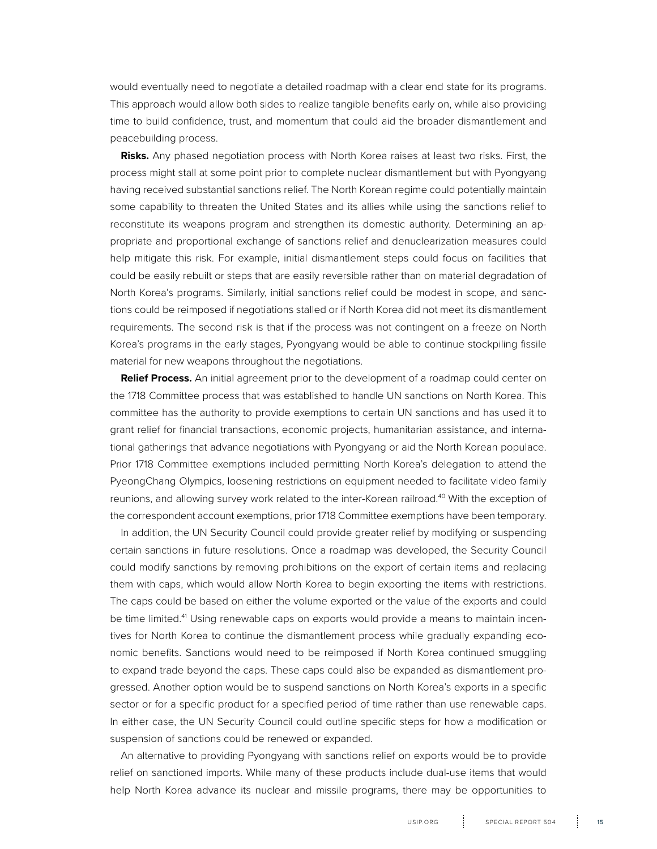would eventually need to negotiate a detailed roadmap with a clear end state for its programs. This approach would allow both sides to realize tangible benefits early on, while also providing time to build confidence, trust, and momentum that could aid the broader dismantlement and peacebuilding process.

**Risks.** Any phased negotiation process with North Korea raises at least two risks. First, the process might stall at some point prior to complete nuclear dismantlement but with Pyongyang having received substantial sanctions relief. The North Korean regime could potentially maintain some capability to threaten the United States and its allies while using the sanctions relief to reconstitute its weapons program and strengthen its domestic authority. Determining an appropriate and proportional exchange of sanctions relief and denuclearization measures could help mitigate this risk. For example, initial dismantlement steps could focus on facilities that could be easily rebuilt or steps that are easily reversible rather than on material degradation of North Korea's programs. Similarly, initial sanctions relief could be modest in scope, and sanctions could be reimposed if negotiations stalled or if North Korea did not meet its dismantlement requirements. The second risk is that if the process was not contingent on a freeze on North Korea's programs in the early stages, Pyongyang would be able to continue stockpiling fissile material for new weapons throughout the negotiations.

**Relief Process.** An initial agreement prior to the development of a roadmap could center on the 1718 Committee process that was established to handle UN sanctions on North Korea. This committee has the authority to provide exemptions to certain UN sanctions and has used it to grant relief for financial transactions, economic projects, humanitarian assistance, and international gatherings that advance negotiations with Pyongyang or aid the North Korean populace. Prior 1718 Committee exemptions included permitting North Korea's delegation to attend the PyeongChang Olympics, loosening restrictions on equipment needed to facilitate video family reunions, and allowing survey work related to the inter-Korean railroad.<sup>40</sup> With the exception of the correspondent account exemptions, prior 1718 Committee exemptions have been temporary.

In addition, the UN Security Council could provide greater relief by modifying or suspending certain sanctions in future resolutions. Once a roadmap was developed, the Security Council could modify sanctions by removing prohibitions on the export of certain items and replacing them with caps, which would allow North Korea to begin exporting the items with restrictions. The caps could be based on either the volume exported or the value of the exports and could be time limited.<sup>41</sup> Using renewable caps on exports would provide a means to maintain incentives for North Korea to continue the dismantlement process while gradually expanding economic benefits. Sanctions would need to be reimposed if North Korea continued smuggling to expand trade beyond the caps. These caps could also be expanded as dismantlement progressed. Another option would be to suspend sanctions on North Korea's exports in a specific sector or for a specific product for a specified period of time rather than use renewable caps. In either case, the UN Security Council could outline specific steps for how a modification or suspension of sanctions could be renewed or expanded.

An alternative to providing Pyongyang with sanctions relief on exports would be to provide relief on sanctioned imports. While many of these products include dual-use items that would help North Korea advance its nuclear and missile programs, there may be opportunities to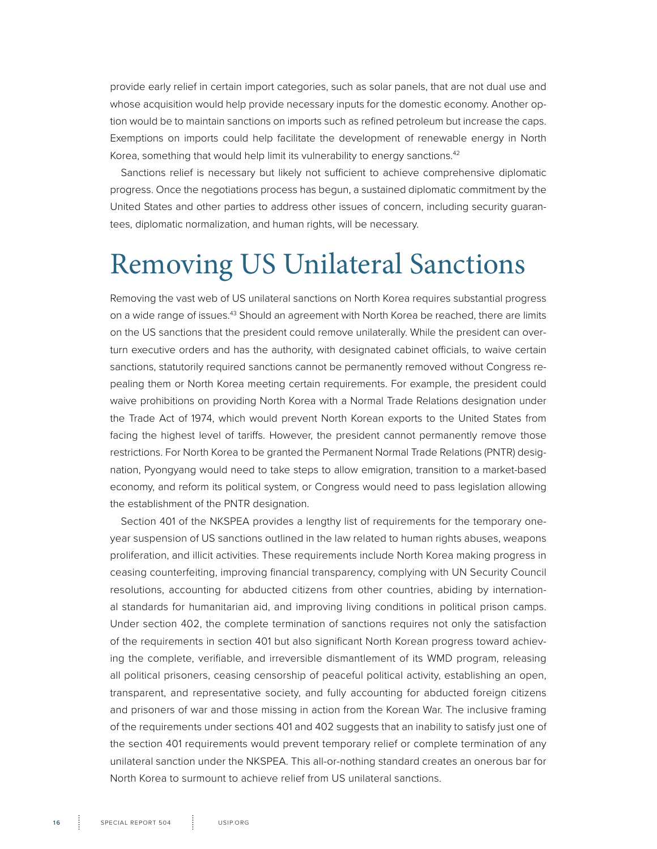<span id="page-15-0"></span>provide early relief in certain import categories, such as solar panels, that are not dual use and whose acquisition would help provide necessary inputs for the domestic economy. Another option would be to maintain sanctions on imports such as refined petroleum but increase the caps. Exemptions on imports could help facilitate the development of renewable energy in North Korea, something that would help limit its vulnerability to energy sanctions.<sup>42</sup>

Sanctions relief is necessary but likely not sufficient to achieve comprehensive diplomatic progress. Once the negotiations process has begun, a sustained diplomatic commitment by the United States and other parties to address other issues of concern, including security guarantees, diplomatic normalization, and human rights, will be necessary.

# Removing US Unilateral Sanctions

Removing the vast web of US unilateral sanctions on North Korea requires substantial progress on a wide range of issues.43 Should an agreement with North Korea be reached, there are limits on the US sanctions that the president could remove unilaterally. While the president can overturn executive orders and has the authority, with designated cabinet officials, to waive certain sanctions, statutorily required sanctions cannot be permanently removed without Congress repealing them or North Korea meeting certain requirements. For example, the president could waive prohibitions on providing North Korea with a Normal Trade Relations designation under the Trade Act of 1974, which would prevent North Korean exports to the United States from facing the highest level of tariffs. However, the president cannot permanently remove those restrictions. For North Korea to be granted the Permanent Normal Trade Relations (PNTR) designation, Pyongyang would need to take steps to allow emigration, transition to a market-based economy, and reform its political system, or Congress would need to pass legislation allowing the establishment of the PNTR designation.

Section 401 of the NKSPEA provides a lengthy list of requirements for the temporary oneyear suspension of US sanctions outlined in the law related to human rights abuses, weapons proliferation, and illicit activities. These requirements include North Korea making progress in ceasing counterfeiting, improving financial transparency, complying with UN Security Council resolutions, accounting for abducted citizens from other countries, abiding by international standards for humanitarian aid, and improving living conditions in political prison camps. Under section 402, the complete termination of sanctions requires not only the satisfaction of the requirements in section 401 but also significant North Korean progress toward achieving the complete, verifiable, and irreversible dismantlement of its WMD program, releasing all political prisoners, ceasing censorship of peaceful political activity, establishing an open, transparent, and representative society, and fully accounting for abducted foreign citizens and prisoners of war and those missing in action from the Korean War. The inclusive framing of the requirements under sections 401 and 402 suggests that an inability to satisfy just one of the section 401 requirements would prevent temporary relief or complete termination of any unilateral sanction under the NKSPEA. This all-or-nothing standard creates an onerous bar for North Korea to surmount to achieve relief from US unilateral sanctions.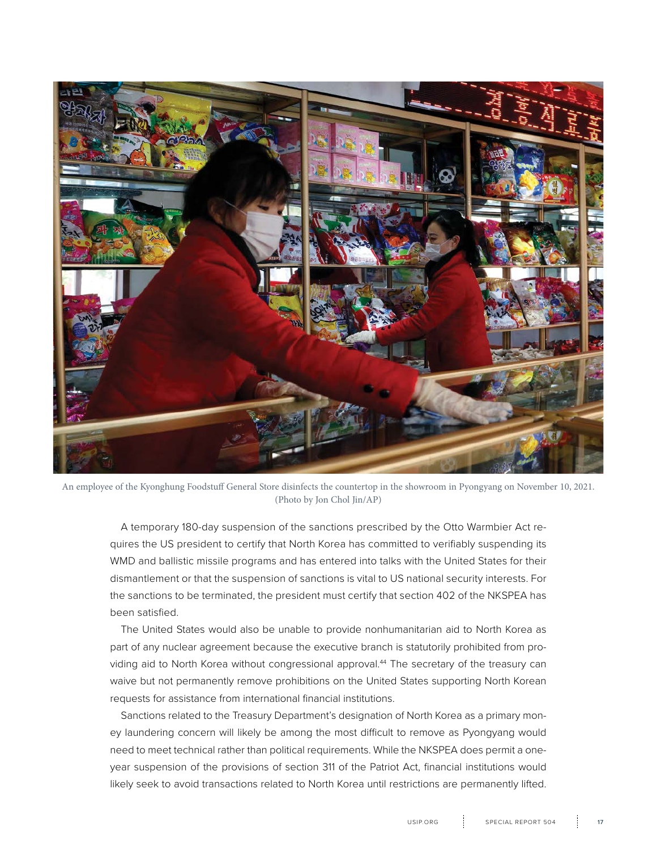

An employee of the Kyonghung Foodstuff General Store disinfects the countertop in the showroom in Pyongyang on November 10, 2021. (Photo by Jon Chol Jin/AP)

A temporary 180-day suspension of the sanctions prescribed by the Otto Warmbier Act requires the US president to certify that North Korea has committed to verifiably suspending its WMD and ballistic missile programs and has entered into talks with the United States for their dismantlement or that the suspension of sanctions is vital to US national security interests. For the sanctions to be terminated, the president must certify that section 402 of the NKSPEA has been satisfied.

The United States would also be unable to provide nonhumanitarian aid to North Korea as part of any nuclear agreement because the executive branch is statutorily prohibited from providing aid to North Korea without congressional approval.<sup>44</sup> The secretary of the treasury can waive but not permanently remove prohibitions on the United States supporting North Korean requests for assistance from international financial institutions.

Sanctions related to the Treasury Department's designation of North Korea as a primary money laundering concern will likely be among the most difficult to remove as Pyongyang would need to meet technical rather than political requirements. While the NKSPEA does permit a oneyear suspension of the provisions of section 311 of the Patriot Act, financial institutions would likely seek to avoid transactions related to North Korea until restrictions are permanently lifted.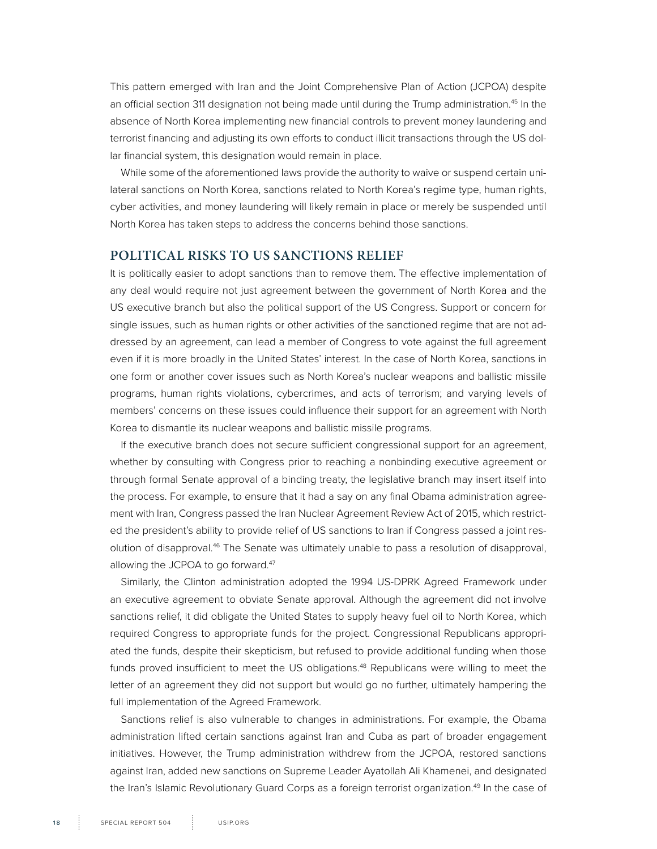This pattern emerged with Iran and the Joint Comprehensive Plan of Action (JCPOA) despite an official section 311 designation not being made until during the Trump administration.<sup>45</sup> In the absence of North Korea implementing new financial controls to prevent money laundering and terrorist financing and adjusting its own efforts to conduct illicit transactions through the US dollar financial system, this designation would remain in place.

While some of the aforementioned laws provide the authority to waive or suspend certain unilateral sanctions on North Korea, sanctions related to North Korea's regime type, human rights, cyber activities, and money laundering will likely remain in place or merely be suspended until North Korea has taken steps to address the concerns behind those sanctions.

#### **POLITICAL RISKS TO US SANCTIONS RELIEF**

It is politically easier to adopt sanctions than to remove them. The effective implementation of any deal would require not just agreement between the government of North Korea and the US executive branch but also the political support of the US Congress. Support or concern for single issues, such as human rights or other activities of the sanctioned regime that are not addressed by an agreement, can lead a member of Congress to vote against the full agreement even if it is more broadly in the United States' interest. In the case of North Korea, sanctions in one form or another cover issues such as North Korea's nuclear weapons and ballistic missile programs, human rights violations, cybercrimes, and acts of terrorism; and varying levels of members' concerns on these issues could influence their support for an agreement with North Korea to dismantle its nuclear weapons and ballistic missile programs.

If the executive branch does not secure sufficient congressional support for an agreement, whether by consulting with Congress prior to reaching a nonbinding executive agreement or through formal Senate approval of a binding treaty, the legislative branch may insert itself into the process. For example, to ensure that it had a say on any final Obama administration agreement with Iran, Congress passed the Iran Nuclear Agreement Review Act of 2015, which restricted the president's ability to provide relief of US sanctions to Iran if Congress passed a joint resolution of disapproval.46 The Senate was ultimately unable to pass a resolution of disapproval, allowing the JCPOA to go forward.<sup>47</sup>

Similarly, the Clinton administration adopted the 1994 US-DPRK Agreed Framework under an executive agreement to obviate Senate approval. Although the agreement did not involve sanctions relief, it did obligate the United States to supply heavy fuel oil to North Korea, which required Congress to appropriate funds for the project. Congressional Republicans appropriated the funds, despite their skepticism, but refused to provide additional funding when those funds proved insufficient to meet the US obligations.<sup>48</sup> Republicans were willing to meet the letter of an agreement they did not support but would go no further, ultimately hampering the full implementation of the Agreed Framework.

Sanctions relief is also vulnerable to changes in administrations. For example, the Obama administration lifted certain sanctions against Iran and Cuba as part of broader engagement initiatives. However, the Trump administration withdrew from the JCPOA, restored sanctions against Iran, added new sanctions on Supreme Leader Ayatollah Ali Khamenei, and designated the Iran's Islamic Revolutionary Guard Corps as a foreign terrorist organization.<sup>49</sup> In the case of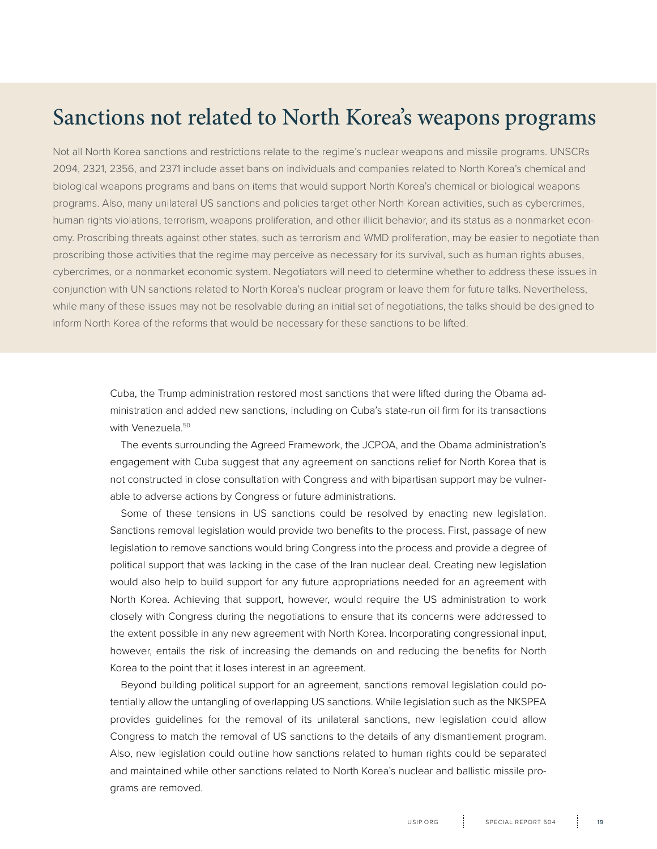## Sanctions not related to North Korea's weapons programs

Not all North Korea sanctions and restrictions relate to the regime's nuclear weapons and missile programs. UNSCRs 2094, 2321, 2356, and 2371 include asset bans on individuals and companies related to North Korea's chemical and biological weapons programs and bans on items that would support North Korea's chemical or biological weapons programs. Also, many unilateral US sanctions and policies target other North Korean activities, such as cybercrimes, human rights violations, terrorism, weapons proliferation, and other illicit behavior, and its status as a nonmarket economy. Proscribing threats against other states, such as terrorism and WMD proliferation, may be easier to negotiate than proscribing those activities that the regime may perceive as necessary for its survival, such as human rights abuses, cybercrimes, or a nonmarket economic system. Negotiators will need to determine whether to address these issues in conjunction with UN sanctions related to North Korea's nuclear program or leave them for future talks. Nevertheless, while many of these issues may not be resolvable during an initial set of negotiations, the talks should be designed to inform North Korea of the reforms that would be necessary for these sanctions to be lifted.

> Cuba, the Trump administration restored most sanctions that were lifted during the Obama administration and added new sanctions, including on Cuba's state-run oil firm for its transactions with Venezuela.<sup>50</sup>

> The events surrounding the Agreed Framework, the JCPOA, and the Obama administration's engagement with Cuba suggest that any agreement on sanctions relief for North Korea that is not constructed in close consultation with Congress and with bipartisan support may be vulnerable to adverse actions by Congress or future administrations.

> Some of these tensions in US sanctions could be resolved by enacting new legislation. Sanctions removal legislation would provide two benefits to the process. First, passage of new legislation to remove sanctions would bring Congress into the process and provide a degree of political support that was lacking in the case of the Iran nuclear deal. Creating new legislation would also help to build support for any future appropriations needed for an agreement with North Korea. Achieving that support, however, would require the US administration to work closely with Congress during the negotiations to ensure that its concerns were addressed to the extent possible in any new agreement with North Korea. Incorporating congressional input, however, entails the risk of increasing the demands on and reducing the benefits for North Korea to the point that it loses interest in an agreement.

> Beyond building political support for an agreement, sanctions removal legislation could potentially allow the untangling of overlapping US sanctions. While legislation such as the NKSPEA provides guidelines for the removal of its unilateral sanctions, new legislation could allow Congress to match the removal of US sanctions to the details of any dismantlement program. Also, new legislation could outline how sanctions related to human rights could be separated and maintained while other sanctions related to North Korea's nuclear and ballistic missile programs are removed.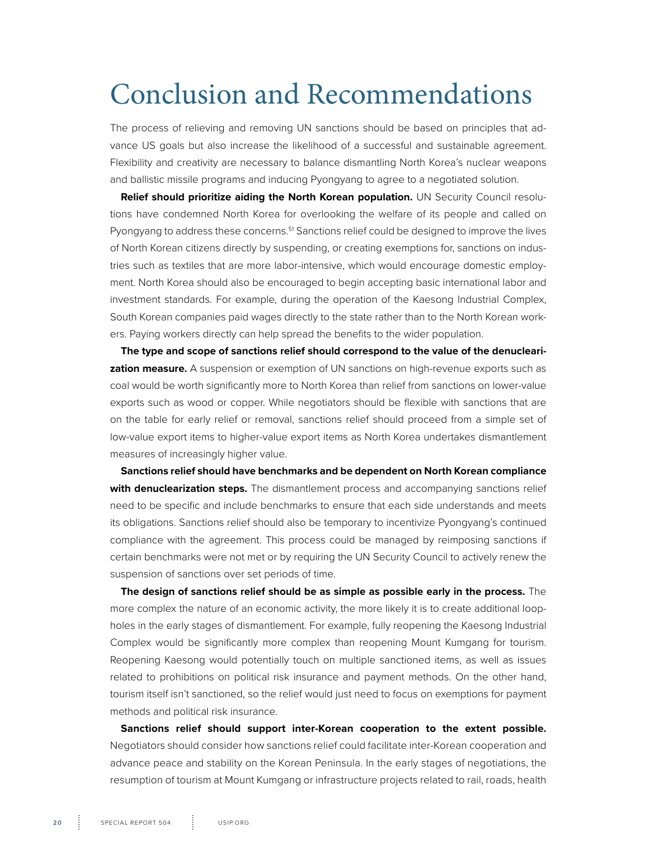# <span id="page-19-0"></span>Conclusion and Recommendations

The process of relieving and removing UN sanctions should be based on principles that advance US goals but also increase the likelihood of a successful and sustainable agreement. Flexibility and creativity are necessary to balance dismantling North Korea's nuclear weapons and ballistic missile programs and inducing Pyongyang to agree to a negotiated solution.

**Relief should prioritize aiding the North Korean population.** UN Security Council resolutions have condemned North Korea for overlooking the welfare of its people and called on Pyongyang to address these concerns.<sup>51</sup> Sanctions relief could be designed to improve the lives of North Korean citizens directly by suspending, or creating exemptions for, sanctions on industries such as textiles that are more labor-intensive, which would encourage domestic employment. North Korea should also be encouraged to begin accepting basic international labor and investment standards. For example, during the operation of the Kaesong Industrial Complex, South Korean companies paid wages directly to the state rather than to the North Korean workers. Paying workers directly can help spread the benefits to the wider population.

**The type and scope of sanctions relief should correspond to the value of the denuclearization measure.** A suspension or exemption of UN sanctions on high-revenue exports such as coal would be worth significantly more to North Korea than relief from sanctions on lower-value exports such as wood or copper. While negotiators should be flexible with sanctions that are on the table for early relief or removal, sanctions relief should proceed from a simple set of low-value export items to higher-value export items as North Korea undertakes dismantlement measures of increasingly higher value.

**Sanctions relief should have benchmarks and be dependent on North Korean compliance**  with denuclearization steps. The dismantlement process and accompanying sanctions relief need to be specific and include benchmarks to ensure that each side understands and meets its obligations. Sanctions relief should also be temporary to incentivize Pyongyang's continued compliance with the agreement. This process could be managed by reimposing sanctions if certain benchmarks were not met or by requiring the UN Security Council to actively renew the suspension of sanctions over set periods of time.

**The design of sanctions relief should be as simple as possible early in the process.** The more complex the nature of an economic activity, the more likely it is to create additional loopholes in the early stages of dismantlement. For example, fully reopening the Kaesong Industrial Complex would be significantly more complex than reopening Mount Kumgang for tourism. Reopening Kaesong would potentially touch on multiple sanctioned items, as well as issues related to prohibitions on political risk insurance and payment methods. On the other hand, tourism itself isn't sanctioned, so the relief would just need to focus on exemptions for payment methods and political risk insurance.

**Sanctions relief should support inter-Korean cooperation to the extent possible.** Negotiators should consider how sanctions relief could facilitate inter-Korean cooperation and advance peace and stability on the Korean Peninsula. In the early stages of negotiations, the resumption of tourism at Mount Kumgang or infrastructure projects related to rail, roads, health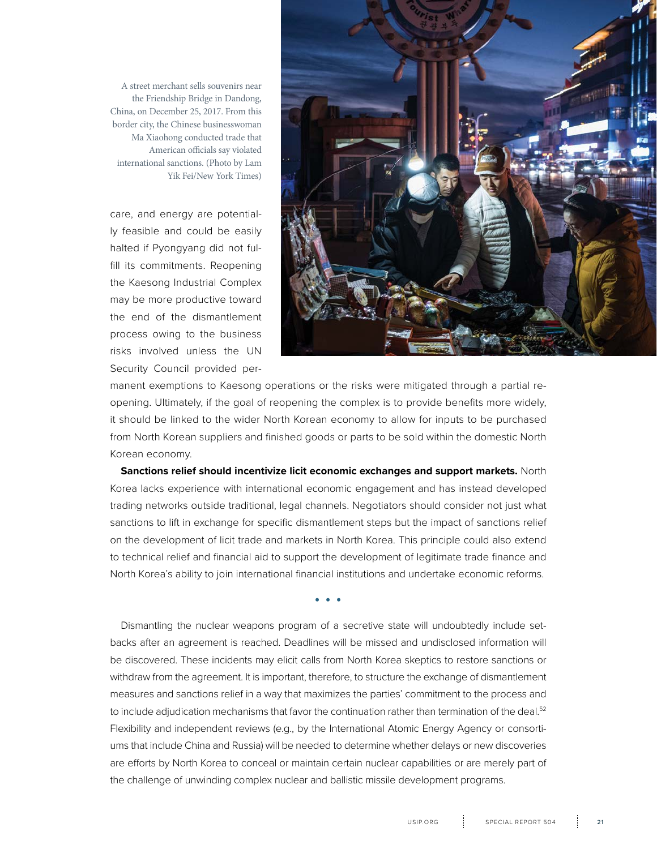

A street merchant sells souvenirs near the Friendship Bridge in Dandong, China, on December 25, 2017. From this border city, the Chinese businesswoman Ma Xiaohong conducted trade that American officials say violated international sanctions. (Photo by Lam Yik Fei/New York Times)

care, and energy are potentially feasible and could be easily halted if Pyongyang did not fulfill its commitments. Reopening the Kaesong Industrial Complex may be more productive toward the end of the dismantlement process owing to the business risks involved unless the UN Security Council provided per-

manent exemptions to Kaesong operations or the risks were mitigated through a partial reopening. Ultimately, if the goal of reopening the complex is to provide benefits more widely, it should be linked to the wider North Korean economy to allow for inputs to be purchased from North Korean suppliers and finished goods or parts to be sold within the domestic North Korean economy.

**Sanctions relief should incentivize licit economic exchanges and support markets.** North Korea lacks experience with international economic engagement and has instead developed trading networks outside traditional, legal channels. Negotiators should consider not just what sanctions to lift in exchange for specific dismantlement steps but the impact of sanctions relief on the development of licit trade and markets in North Korea. This principle could also extend to technical relief and financial aid to support the development of legitimate trade finance and North Korea's ability to join international financial institutions and undertake economic reforms.

. . .

Dismantling the nuclear weapons program of a secretive state will undoubtedly include setbacks after an agreement is reached. Deadlines will be missed and undisclosed information will be discovered. These incidents may elicit calls from North Korea skeptics to restore sanctions or withdraw from the agreement. It is important, therefore, to structure the exchange of dismantlement measures and sanctions relief in a way that maximizes the parties' commitment to the process and to include adjudication mechanisms that favor the continuation rather than termination of the deal.<sup>52</sup> Flexibility and independent reviews (e.g., by the International Atomic Energy Agency or consortiums that include China and Russia) will be needed to determine whether delays or new discoveries are efforts by North Korea to conceal or maintain certain nuclear capabilities or are merely part of the challenge of unwinding complex nuclear and ballistic missile development programs.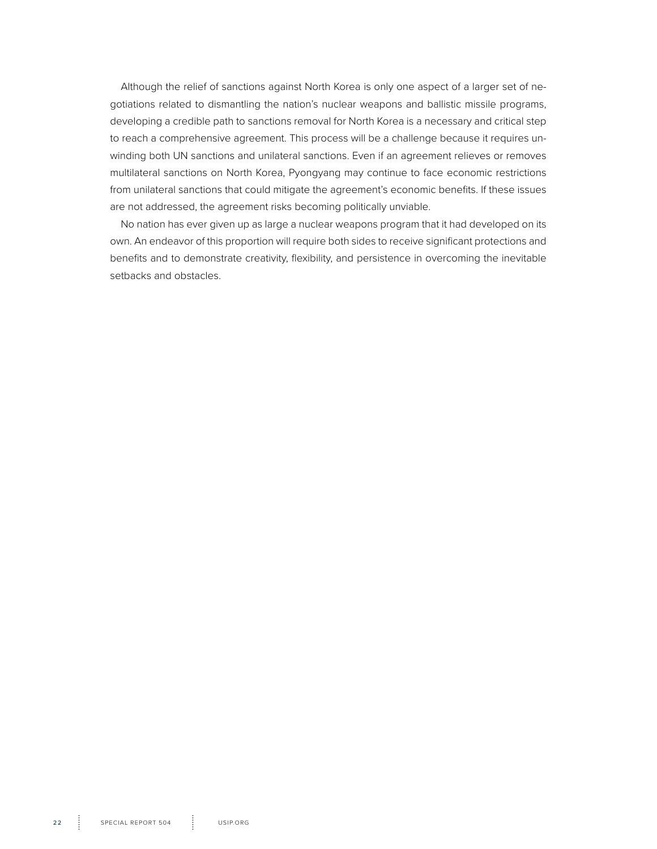Although the relief of sanctions against North Korea is only one aspect of a larger set of negotiations related to dismantling the nation's nuclear weapons and ballistic missile programs, developing a credible path to sanctions removal for North Korea is a necessary and critical step to reach a comprehensive agreement. This process will be a challenge because it requires unwinding both UN sanctions and unilateral sanctions. Even if an agreement relieves or removes multilateral sanctions on North Korea, Pyongyang may continue to face economic restrictions from unilateral sanctions that could mitigate the agreement's economic benefits. If these issues are not addressed, the agreement risks becoming politically unviable.

No nation has ever given up as large a nuclear weapons program that it had developed on its own. An endeavor of this proportion will require both sides to receive significant protections and benefits and to demonstrate creativity, flexibility, and persistence in overcoming the inevitable setbacks and obstacles.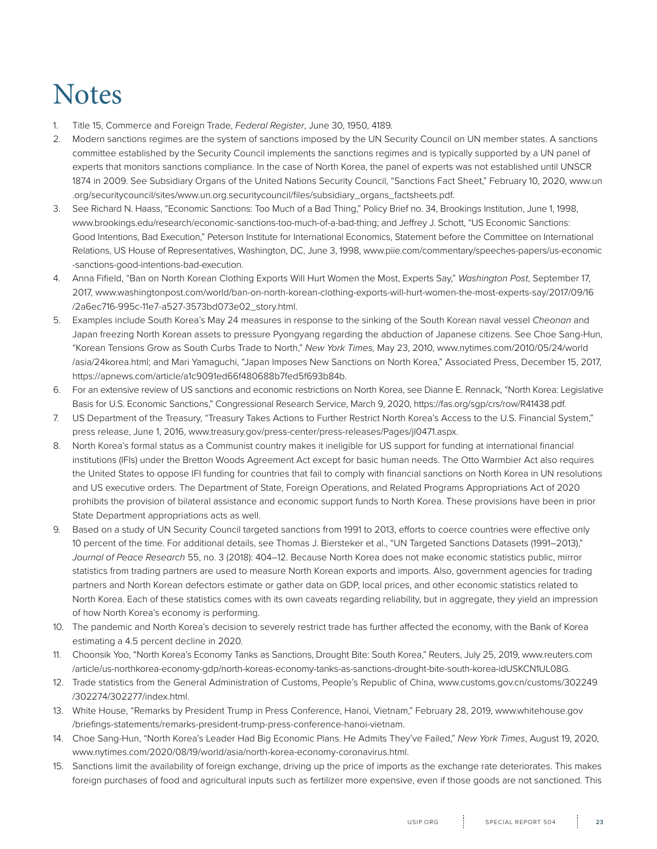# **Notes**

- 1. Title 15, Commerce and Foreign Trade, *Federal Register*, June 30, 1950, 4189.
- 2. Modern sanctions regimes are the system of sanctions imposed by the UN Security Council on UN member states. A sanctions committee established by the Security Council implements the sanctions regimes and is typically supported by a UN panel of experts that monitors sanctions compliance. In the case of North Korea, the panel of experts was not established until UNSCR 1874 in 2009. See Subsidiary Organs of the United Nations Security Council, "Sanctions Fact Sheet," February 10, 2020, www.un .org/securitycouncil/sites/www.un.org.securitycouncil/files/subsidiary\_organs\_factsheets.pdf.
- 3. See Richard N. Haass, "Economic Sanctions: Too Much of a Bad Thing," Policy Brief no. 34, Brookings Institution, June 1, 1998, www.brookings.edu/research/economic-sanctions-too-much-of-a-bad-thing; and Jeffrey J. Schott, "US Economic Sanctions: Good Intentions, Bad Execution," Peterson Institute for International Economics, Statement before the Committee on International Relations, US House of Representatives, Washington, DC, June 3, 1998, www.piie.com/commentary/speeches-papers/us-economic -sanctions-good-intentions-bad-execution.
- 4. Anna Fifield, "Ban on North Korean Clothing Exports Will Hurt Women the Most, Experts Say," *Washington Post*, September 17, 2017, www.washingtonpost.com/world/ban-on-north-korean-clothing-exports-will-hurt-women-the-most-experts-say/2017/09/16 /2a6ec716-995c-11e7-a527-3573bd073e02\_story.html.
- 5. Examples include South Korea's May 24 measures in response to the sinking of the South Korean naval vessel *Cheonan* and Japan freezing North Korean assets to pressure Pyongyang regarding the abduction of Japanese citizens. See Choe Sang-Hun, "Korean Tensions Grow as South Curbs Trade to North," *New York Times,* May 23, 2010, www.nytimes.com/2010/05/24/world /asia/24korea.html; and Mari Yamaguchi, "Japan Imposes New Sanctions on North Korea," Associated Press, December 15, 2017, https://apnews.com/article/a1c9091ed66f480688b7fed5f693b84b.
- 6. For an extensive review of US sanctions and economic restrictions on North Korea, see Dianne E. Rennack, "North Korea: Legislative Basis for U.S. Economic Sanctions," Congressional Research Service, March 9, 2020, https://fas.org/sgp/crs/row/R41438.pdf.
- 7. US Department of the Treasury, "Treasury Takes Actions to Further Restrict North Korea's Access to the U.S. Financial System," press release, June 1, 2016, www.treasury.gov/press-center/press-releases/Pages/jl0471.aspx.
- 8. North Korea's formal status as a Communist country makes it ineligible for US support for funding at international financial institutions (IFIs) under the Bretton Woods Agreement Act except for basic human needs. The Otto Warmbier Act also requires the United States to oppose IFI funding for countries that fail to comply with financial sanctions on North Korea in UN resolutions and US executive orders. The Department of State, Foreign Operations, and Related Programs Appropriations Act of 2020 prohibits the provision of bilateral assistance and economic support funds to North Korea. These provisions have been in prior State Department appropriations acts as well.
- 9. Based on a study of UN Security Council targeted sanctions from 1991 to 2013, efforts to coerce countries were effective only 10 percent of the time. For additional details, see Thomas J. Biersteker et al., "UN Targeted Sanctions Datasets (1991–2013)," *Journal of Peace Research* 55, no. 3 (2018): 404–12. Because North Korea does not make economic statistics public, mirror statistics from trading partners are used to measure North Korean exports and imports. Also, government agencies for trading partners and North Korean defectors estimate or gather data on GDP, local prices, and other economic statistics related to North Korea. Each of these statistics comes with its own caveats regarding reliability, but in aggregate, they yield an impression of how North Korea's economy is performing.
- 10. The pandemic and North Korea's decision to severely restrict trade has further affected the economy, with the Bank of Korea estimating a 4.5 percent decline in 2020.
- 11. Choonsik Yoo, "North Korea's Economy Tanks as Sanctions, Drought Bite: South Korea," Reuters, July 25, 2019, www.reuters.com /article/us-northkorea-economy-gdp/north-koreas-economy-tanks-as-sanctions-drought-bite-south-korea-idUSKCN1UL08G.
- 12. Trade statistics from the General Administration of Customs, People's Republic of China, www.customs.gov.cn/customs/302249 /302274/302277/index.html.
- 13. White House, "Remarks by President Trump in Press Conference, Hanoi, Vietnam," February 28, 2019, www.whitehouse.gov /briefings-statements/remarks-president-trump-press-conference-hanoi-vietnam.
- 14. Choe Sang-Hun, "North Korea's Leader Had Big Economic Plans. He Admits They've Failed," *New York Times*, August 19, 2020, www.nytimes.com/2020/08/19/world/asia/north-korea-economy-coronavirus.html.
- 15. Sanctions limit the availability of foreign exchange, driving up the price of imports as the exchange rate deteriorates. This makes foreign purchases of food and agricultural inputs such as fertilizer more expensive, even if those goods are not sanctioned. This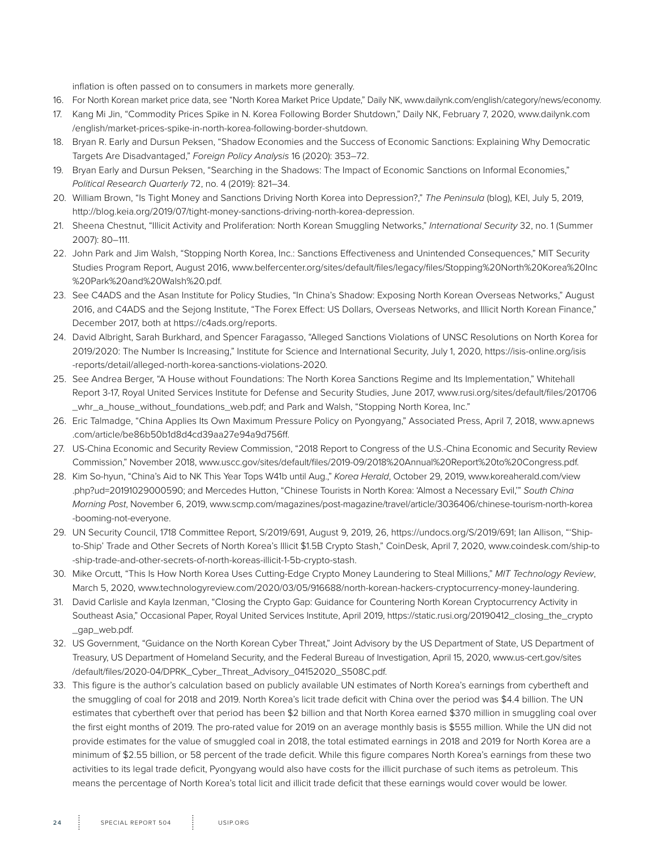inflation is often passed on to consumers in markets more generally.

- 16. For North Korean market price data, see "North Korea Market Price Update," Daily NK, www.dailynk.com/english/category/news/economy.
- 17. Kang Mi Jin, "Commodity Prices Spike in N. Korea Following Border Shutdown," Daily NK, February 7, 2020, www.dailynk.com /english/market-prices-spike-in-north-korea-following-border-shutdown.
- 18. Bryan R. Early and Dursun Peksen, "Shadow Economies and the Success of Economic Sanctions: Explaining Why Democratic Targets Are Disadvantaged," *Foreign Policy Analysis* 16 (2020): 353–72.
- 19. Bryan Early and Dursun Peksen, "Searching in the Shadows: The Impact of Economic Sanctions on Informal Economies," *Political Research Quarterly* 72, no. 4 (2019): 821–34.
- 20. William Brown, "Is Tight Money and Sanctions Driving North Korea into Depression?," *The Peninsula* (blog), KEI, July 5, 2019, http://blog.keia.org/2019/07/tight-money-sanctions-driving-north-korea-depression.
- 21. Sheena Chestnut, "Illicit Activity and Proliferation: North Korean Smuggling Networks," *International Security* 32, no. 1 (Summer 2007): 80–111.
- 22. John Park and Jim Walsh, "Stopping North Korea, Inc.: Sanctions Effectiveness and Unintended Consequences," MIT Security Studies Program Report, August 2016, www.belfercenter.org/sites/default/files/legacy/files/Stopping%20North%20Korea%20Inc %20Park%20and%20Walsh%20.pdf.
- 23. See C4ADS and the Asan Institute for Policy Studies, "In China's Shadow: Exposing North Korean Overseas Networks," August 2016, and C4ADS and the Sejong Institute, "The Forex Effect: US Dollars, Overseas Networks, and Illicit North Korean Finance," December 2017, both at https://c4ads.org/reports.
- 24. David Albright, Sarah Burkhard, and Spencer Faragasso, "Alleged Sanctions Violations of UNSC Resolutions on North Korea for 2019/2020: The Number Is Increasing," Institute for Science and International Security, July 1, 2020, https://isis-online.org/isis -reports/detail/alleged-north-korea-sanctions-violations-2020.
- 25. See Andrea Berger, "A House without Foundations: The North Korea Sanctions Regime and Its Implementation," Whitehall Report 3-17, Royal United Services Institute for Defense and Security Studies, June 2017, www.rusi.org/sites/default/files/201706 \_whr\_a\_house\_without\_foundations\_web.pdf; and Park and Walsh, "Stopping North Korea, Inc."
- 26. Eric Talmadge, "China Applies Its Own Maximum Pressure Policy on Pyongyang," Associated Press, April 7, 2018, www.apnews .com/article/be86b50b1d8d4cd39aa27e94a9d756ff.
- 27. US-China Economic and Security Review Commission, "2018 Report to Congress of the U.S.-China Economic and Security Review Commission," November 2018, www.uscc.gov/sites/default/files/2019-09/2018%20Annual%20Report%20to%20Congress.pdf.
- 28. Kim So-hyun, "China's Aid to NK This Year Tops W41b until Aug.," *Korea Herald*, October 29, 2019, www.koreaherald.com/view .php?ud=20191029000590; and Mercedes Hutton, "Chinese Tourists in North Korea: 'Almost a Necessary Evil,'" *South China Morning Post*, November 6, 2019, www.scmp.com/magazines/post-magazine/travel/article/3036406/chinese-tourism-north-korea -booming-not-everyone.
- 29. UN Security Council, 1718 Committee Report, S/2019/691, August 9, 2019, 26, https://undocs.org/S/2019/691; Ian Allison, "'Shipto-Ship' Trade and Other Secrets of North Korea's Illicit \$1.5B Crypto Stash," CoinDesk, April 7, 2020, www.coindesk.com/ship-to -ship-trade-and-other-secrets-of-north-koreas-illicit-1-5b-crypto-stash.
- 30. Mike Orcutt, "This Is How North Korea Uses Cutting-Edge Crypto Money Laundering to Steal Millions," *MIT Technology Review*, March 5, 2020, www.technologyreview.com/2020/03/05/916688/north-korean-hackers-cryptocurrency-money-laundering.
- 31. David Carlisle and Kayla Izenman, "Closing the Crypto Gap: Guidance for Countering North Korean Cryptocurrency Activity in Southeast Asia," Occasional Paper, Royal United Services Institute, April 2019, https://static.rusi.org/20190412\_closing\_the\_crypto \_gap\_web.pdf.
- 32. US Government, "Guidance on the North Korean Cyber Threat," Joint Advisory by the US Department of State, US Department of Treasury, US Department of Homeland Security, and the Federal Bureau of Investigation, April 15, 2020, www.us-cert.gov/sites /default/files/2020-04/DPRK\_Cyber\_Threat\_Advisory\_04152020\_S508C.pdf.
- 33. This figure is the author's calculation based on publicly available UN estimates of North Korea's earnings from cybertheft and the smuggling of coal for 2018 and 2019. North Korea's licit trade deficit with China over the period was \$4.4 billion. The UN estimates that cybertheft over that period has been \$2 billion and that North Korea earned \$370 million in smuggling coal over the first eight months of 2019. The pro-rated value for 2019 on an average monthly basis is \$555 million. While the UN did not provide estimates for the value of smuggled coal in 2018, the total estimated earnings in 2018 and 2019 for North Korea are a minimum of \$2.55 billion, or 58 percent of the trade deficit. While this figure compares North Korea's earnings from these two activities to its legal trade deficit, Pyongyang would also have costs for the illicit purchase of such items as petroleum. This means the percentage of North Korea's total licit and illicit trade deficit that these earnings would cover would be lower.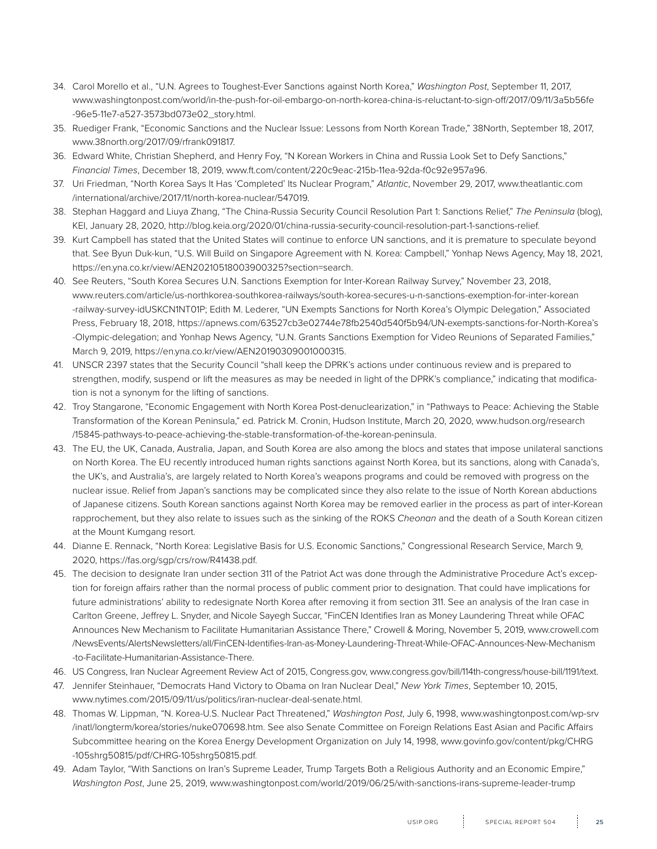- 34. Carol Morello et al., "U.N. Agrees to Toughest-Ever Sanctions against North Korea," *Washington Post*, September 11, 2017, www.washingtonpost.com/world/in-the-push-for-oil-embargo-on-north-korea-china-is-reluctant-to-sign-off/2017/09/11/3a5b56fe -96e5-11e7-a527-3573bd073e02\_story.html.
- 35. Ruediger Frank, "Economic Sanctions and the Nuclear Issue: Lessons from North Korean Trade," 38North, September 18, 2017, www.38north.org/2017/09/rfrank091817.
- 36. Edward White, Christian Shepherd, and Henry Foy, "N Korean Workers in China and Russia Look Set to Defy Sanctions," *Financial Times*, December 18, 2019, www.ft.com/content/220c9eac-215b-11ea-92da-f0c92e957a96.
- 37. Uri Friedman, "North Korea Says It Has 'Completed' Its Nuclear Program," *Atlantic*, November 29, 2017, www.theatlantic.com /international/archive/2017/11/north-korea-nuclear/547019.
- 38. Stephan Haggard and Liuya Zhang, "The China-Russia Security Council Resolution Part 1: Sanctions Relief," *The Peninsula* (blog), KEI, January 28, 2020, http://blog.keia.org/2020/01/china-russia-security-council-resolution-part-1-sanctions-relief.
- 39. Kurt Campbell has stated that the United States will continue to enforce UN sanctions, and it is premature to speculate beyond that. See Byun Duk-kun, "U.S. Will Build on Singapore Agreement with N. Korea: Campbell," Yonhap News Agency, May 18, 2021, https://en.yna.co.kr/view/AEN20210518003900325?section=search.
- 40. See Reuters, "South Korea Secures U.N. Sanctions Exemption for Inter-Korean Railway Survey," November 23, 2018, www.reuters.com/article/us-northkorea-southkorea-railways/south-korea-secures-u-n-sanctions-exemption-for-inter-korean -railway-survey-idUSKCN1NT01P; Edith M. Lederer, "UN Exempts Sanctions for North Korea's Olympic Delegation," Associated Press, February 18, 2018, https://apnews.com/63527cb3e02744e78fb2540d540f5b94/UN-exempts-sanctions-for-North-Korea's -Olympic-delegation; and Yonhap News Agency, "U.N. Grants Sanctions Exemption for Video Reunions of Separated Families," March 9, 2019, https://en.yna.co.kr/view/AEN20190309001000315.
- 41. UNSCR 2397 states that the Security Council "shall keep the DPRK's actions under continuous review and is prepared to strengthen, modify, suspend or lift the measures as may be needed in light of the DPRK's compliance," indicating that modification is not a synonym for the lifting of sanctions.
- 42. Troy Stangarone, "Economic Engagement with North Korea Post-denuclearization," in "Pathways to Peace: Achieving the Stable Transformation of the Korean Peninsula," ed. Patrick M. Cronin, Hudson Institute, March 20, 2020, www.hudson.org/research /15845-pathways-to-peace-achieving-the-stable-transformation-of-the-korean-peninsula.
- 43. The EU, the UK, Canada, Australia, Japan, and South Korea are also among the blocs and states that impose unilateral sanctions on North Korea. The EU recently introduced human rights sanctions against North Korea, but its sanctions, along with Canada's, the UK's, and Australia's, are largely related to North Korea's weapons programs and could be removed with progress on the nuclear issue. Relief from Japan's sanctions may be complicated since they also relate to the issue of North Korean abductions of Japanese citizens. South Korean sanctions against North Korea may be removed earlier in the process as part of inter-Korean rapprochement, but they also relate to issues such as the sinking of the ROKS *Cheonan* and the death of a South Korean citizen at the Mount Kumgang resort.
- 44. Dianne E. Rennack, "North Korea: Legislative Basis for U.S. Economic Sanctions," Congressional Research Service, March 9, 2020, https://fas.org/sgp/crs/row/R41438.pdf.
- 45. The decision to designate Iran under section 311 of the Patriot Act was done through the Administrative Procedure Act's exception for foreign affairs rather than the normal process of public comment prior to designation. That could have implications for future administrations' ability to redesignate North Korea after removing it from section 311. See an analysis of the Iran case in Carlton Greene, Jeffrey L. Snyder, and Nicole Sayegh Succar, "FinCEN Identifies Iran as Money Laundering Threat while OFAC Announces New Mechanism to Facilitate Humanitarian Assistance There," Crowell & Moring, November 5, 2019, www.crowell.com /NewsEvents/AlertsNewsletters/all/FinCEN-Identifies-Iran-as-Money-Laundering-Threat-While-OFAC-Announces-New-Mechanism -to-Facilitate-Humanitarian-Assistance-There.
- 46. US Congress, Iran Nuclear Agreement Review Act of 2015, Congress.gov, www.congress.gov/bill/114th-congress/house-bill/1191/text.
- 47. Jennifer Steinhauer, "Democrats Hand Victory to Obama on Iran Nuclear Deal," *New York Times*, September 10, 2015, www.nytimes.com/2015/09/11/us/politics/iran-nuclear-deal-senate.html.
- 48. Thomas W. Lippman, "N. Korea-U.S. Nuclear Pact Threatened," *Washington Post*, July 6, 1998, www.washingtonpost.com/wp-srv /inatl/longterm/korea/stories/nuke070698.htm. See also Senate Committee on Foreign Relations East Asian and Pacific Affairs Subcommittee hearing on the Korea Energy Development Organization on July 14, 1998, www.govinfo.gov/content/pkg/CHRG -105shrg50815/pdf/CHRG-105shrg50815.pdf.
- 49. Adam Taylor, "With Sanctions on Iran's Supreme Leader, Trump Targets Both a Religious Authority and an Economic Empire," *Washington Post*, June 25, 2019, www.washingtonpost.com/world/2019/06/25/with-sanctions-irans-supreme-leader-trump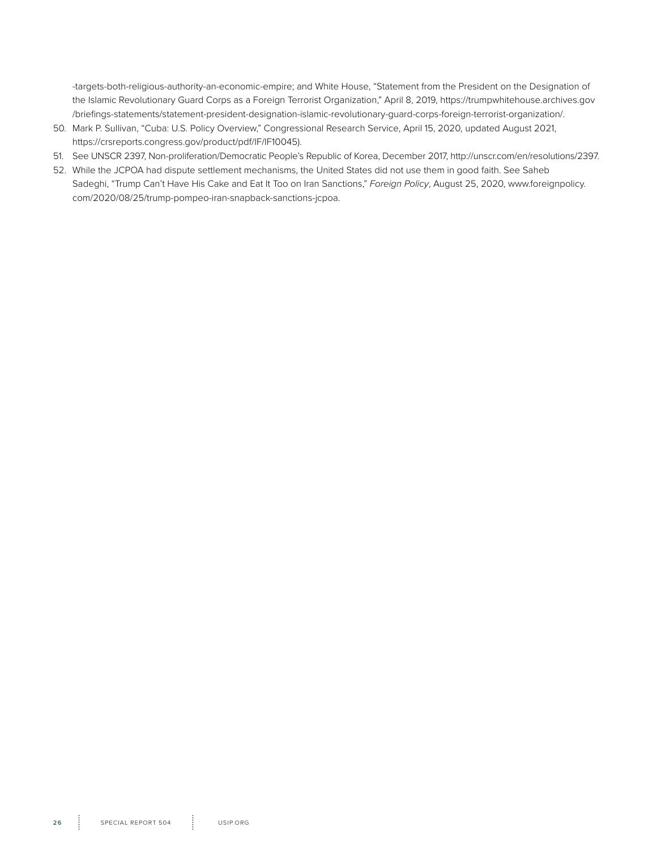-targets-both-religious-authority-an-economic-empire; and White House, "Statement from the President on the Designation of the Islamic Revolutionary Guard Corps as a Foreign Terrorist Organization," April 8, 2019, https://trumpwhitehouse.archives.gov /briefings-statements/statement-president-designation-islamic-revolutionary-guard-corps-foreign-terrorist-organization/.

- 50. Mark P. Sullivan, "Cuba: U.S. Policy Overview," Congressional Research Service, April 15, 2020, updated August 2021, https://crsreports.congress.gov/product/pdf/IF/IF10045).
- 51. See UNSCR 2397, Non-proliferation/Democratic People's Republic of Korea, December 2017, http://unscr.com/en/resolutions/2397.
- 52. While the JCPOA had dispute settlement mechanisms, the United States did not use them in good faith. See Saheb Sadeghi, "Trump Can't Have His Cake and Eat It Too on Iran Sanctions," *Foreign Policy*, August 25, 2020, www.foreignpolicy. com/2020/08/25/trump-pompeo-iran-snapback-sanctions-jcpoa.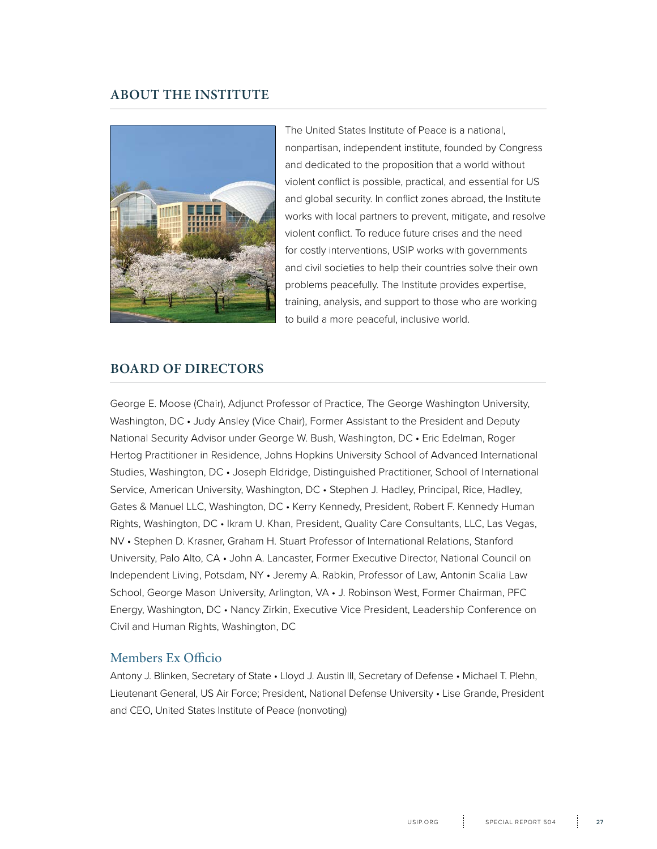### **ABOUT THE INSTITUTE**



The United States Institute of Peace is a national, nonpartisan, independent institute, founded by Congress and dedicated to the proposition that a world without violent conflict is possible, practical, and essential for US and global security. In conflict zones abroad, the Institute works with local partners to prevent, mitigate, and resolve violent conflict. To reduce future crises and the need for costly interventions, USIP works with governments and civil societies to help their countries solve their own problems peacefully. The Institute provides expertise, training, analysis, and support to those who are working to build a more peaceful, inclusive world.

#### **BOARD OF DIRECTORS**

George E. Moose (Chair), Adjunct Professor of Practice, The George Washington University, Washington, DC • Judy Ansley (Vice Chair), Former Assistant to the President and Deputy National Security Advisor under George W. Bush, Washington, DC • Eric Edelman, Roger Hertog Practitioner in Residence, Johns Hopkins University School of Advanced International Studies, Washington, DC • Joseph Eldridge, Distinguished Practitioner, School of International Service, American University, Washington, DC • Stephen J. Hadley, Principal, Rice, Hadley, Gates & Manuel LLC, Washington, DC • Kerry Kennedy, President, Robert F. Kennedy Human Rights, Washington, DC • Ikram U. Khan, President, Quality Care Consultants, LLC, Las Vegas, NV • Stephen D. Krasner, Graham H. Stuart Professor of International Relations, Stanford University, Palo Alto, CA • John A. Lancaster, Former Executive Director, National Council on Independent Living, Potsdam, NY • Jeremy A. Rabkin, Professor of Law, Antonin Scalia Law School, George Mason University, Arlington, VA • J. Robinson West, Former Chairman, PFC Energy, Washington, DC • Nancy Zirkin, Executive Vice President, Leadership Conference on Civil and Human Rights, Washington, DC

### Members Ex Officio

Antony J. Blinken, Secretary of State • Lloyd J. Austin III, Secretary of Defense • Michael T. Plehn, Lieutenant General, US Air Force; President, National Defense University • Lise Grande, President and CEO, United States Institute of Peace (nonvoting)